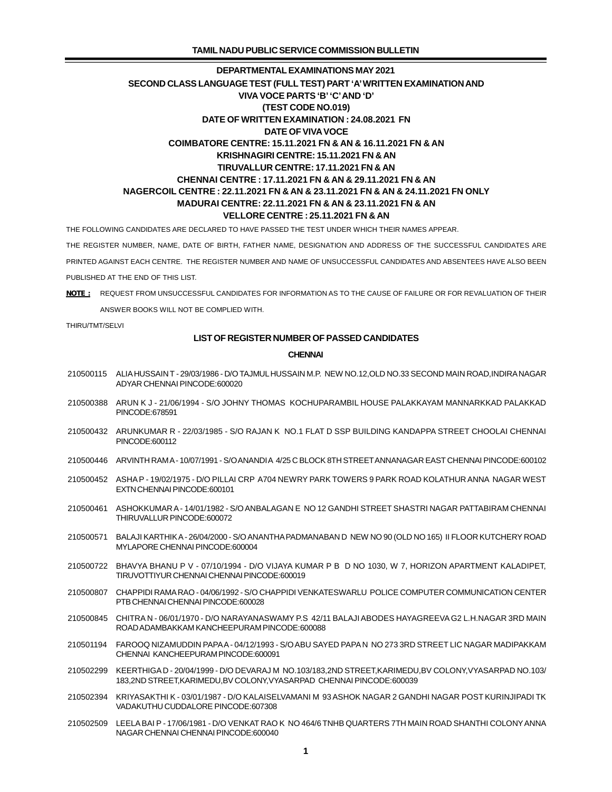THE FOLLOWING CANDIDATES ARE DECLARED TO HAVE PASSED THE TEST UNDER WHICH THEIR NAMES APPEAR.

THE REGISTER NUMBER, NAME, DATE OF BIRTH, FATHER NAME, DESIGNATION AND ADDRESS OF THE SUCCESSFUL CANDIDATES ARE

PRINTED AGAINST EACH CENTRE. THE REGISTER NUMBER AND NAME OF UNSUCCESSFUL CANDIDATES AND ABSENTEES HAVE ALSO BEEN PUBLISHED AT THE END OF THIS LIST.

*NOTE :* REQUEST FROM UNSUCCESSFUL CANDIDATES FOR INFORMATION AS TO THE CAUSE OF FAILURE OR FOR REVALUATION OF THEIR ANSWER BOOKS WILL NOT BE COMPLIED WITH.

THIRU/TMT/SELVI

### **LIST OF REGISTER NUMBER OF PASSED CANDIDATES**

#### **CHENNAI**

- 210500115 ALIA HUSSAIN T 29/03/1986 D/O TAJMUL HUSSAIN M.P. NEW NO.12,OLD NO.33 SECOND MAIN ROAD,INDIRA NAGAR ADYAR CHENNAI PINCODE:600020
- 210500388 ARUN K J 21/06/1994 S/O JOHNY THOMAS KOCHUPARAMBIL HOUSE PALAKKAYAM MANNARKKAD PALAKKAD PINCODE:678591
- 210500432 ARUNKUMAR R 22/03/1985 S/O RAJAN K NO.1 FLAT D SSP BUILDING KANDAPPA STREET CHOOLAI CHENNAI PINCODE:600112
- 210500446 ARVINTH RAM A 10/07/1991 S/O ANANDI A 4/25 C BLOCK 8TH STREET ANNANAGAR EAST CHENNAI PINCODE:600102
- 210500452 ASHA P 19/02/1975 D/O PILLAI CRP A704 NEWRY PARK TOWERS 9 PARK ROAD KOLATHUR ANNA NAGAR WEST EXTN CHENNAI PINCODE:600101
- 210500461 ASHOKKUMAR A 14/01/1982 S/O ANBALAGAN E NO 12 GANDHI STREET SHASTRI NAGAR PATTABIRAM CHENNAI THIRUVALLUR PINCODE:600072
- 210500571 BALAJI KARTHIK A 26/04/2000 S/O ANANTHA PADMANABAN D NEW NO 90 (OLD NO 165) II FLOOR KUTCHERY ROAD MYLAPORE CHENNAI PINCODE:600004
- 210500722 BHAVYA BHANU P V 07/10/1994 D/O VIJAYA KUMAR P B D NO 1030, W 7, HORIZON APARTMENT KALADIPET, TIRUVOTTIYUR CHENNAI CHENNAI PINCODE:600019
- 210500807 CHAPPIDI RAMA RAO 04/06/1992 S/O CHAPPIDI VENKATESWARLU POLICE COMPUTER COMMUNICATION CENTER PTB CHENNAI CHENNAI PINCODE:600028
- 210500845 CHITRA N 06/01/1970 D/O NARAYANASWAMY P.S 42/11 BALAJI ABODES HAYAGREEVA G2 L.H.NAGAR 3RD MAIN ROAD ADAMBAKKAM KANCHEEPURAM PINCODE:600088
- 210501194 FAROOQ NIZAMUDDIN PAPA A 04/12/1993 S/O ABU SAYED PAPA N NO 273 3RD STREET LIC NAGAR MADIPAKKAM CHENNAI KANCHEEPURAM PINCODE:600091
- 210502299 KEERTHIGA D 20/04/1999 D/O DEVARAJ M NO.103/183,2ND STREET,KARIMEDU,BV COLONY,VYASARPAD NO.103/ 183,2ND STREET,KARIMEDU,BV COLONY,VYASARPAD CHENNAI PINCODE:600039
- 210502394 KRIYASAKTHI K 03/01/1987 D/O KALAISELVAMANI M 93 ASHOK NAGAR 2 GANDHI NAGAR POST KURINJIPADI TK VADAKUTHU CUDDALORE PINCODE:607308
- 210502509 LEELA BAI P 17/06/1981 D/O VENKAT RAO K NO 464/6 TNHB QUARTERS 7TH MAIN ROAD SHANTHI COLONY ANNA NAGAR CHENNAI CHENNAI PINCODE:600040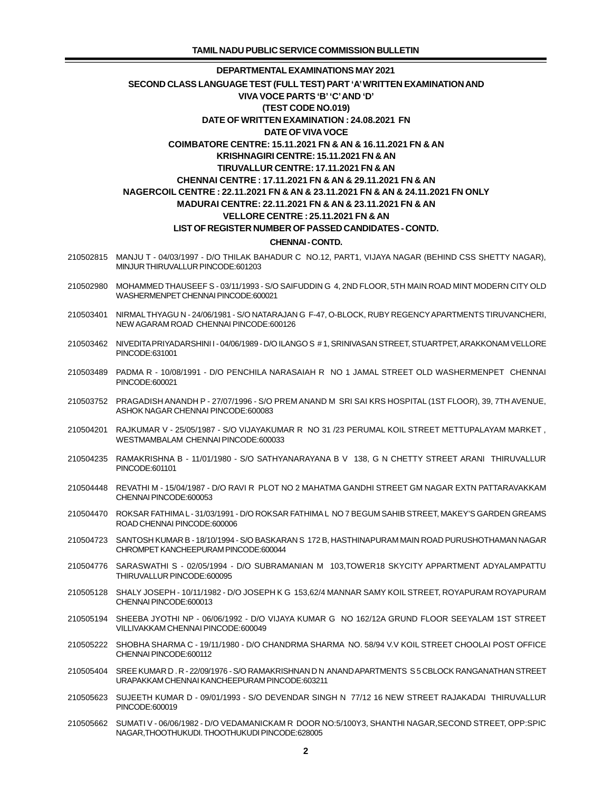- 210502815 MANJU T 04/03/1997 D/O THILAK BAHADUR C NO.12, PART1, VIJAYA NAGAR (BEHIND CSS SHETTY NAGAR), MINJUR THIRUVALLUR PINCODE:601203
- 210502980 MOHAMMED THAUSEEF S 03/11/1993 S/O SAIFUDDIN G 4, 2ND FLOOR, 5TH MAIN ROAD MINT MODERN CITY OLD WASHERMENPET CHENNAI PINCODE:600021
- 210503401 NIRMAL THYAGU N 24/06/1981 S/O NATARAJAN G F-47, O-BLOCK, RUBY REGENCY APARTMENTS TIRUVANCHERI, NEW AGARAM ROAD CHENNAI PINCODE:600126
- 210503462 NIVEDITA PRIYADARSHINI I 04/06/1989 D/O ILANGO S # 1, SRINIVASAN STREET, STUARTPET, ARAKKONAM VELLORE PINCODE:631001
- 210503489 PADMA R 10/08/1991 D/O PENCHILA NARASAIAH R NO 1 JAMAL STREET OLD WASHERMENPET CHENNAI PINCODE:600021
- 210503752 PRAGADISH ANANDH P 27/07/1996 S/O PREM ANAND M SRI SAI KRS HOSPITAL (1ST FLOOR), 39, 7TH AVENUE, ASHOK NAGAR CHENNAI PINCODE:600083
- 210504201 RAJKUMAR V 25/05/1987 S/O VIJAYAKUMAR R NO 31 /23 PERUMAL KOIL STREET METTUPALAYAM MARKET , WESTMAMBALAM CHENNAI PINCODE:600033
- 210504235 RAMAKRISHNA B 11/01/1980 S/O SATHYANARAYANA B V 138, G N CHETTY STREET ARANI THIRUVALLUR PINCODE:601101
- 210504448 REVATHI M 15/04/1987 D/O RAVI R PLOT NO 2 MAHATMA GANDHI STREET GM NAGAR EXTN PATTARAVAKKAM CHENNAI PINCODE:600053
- 210504470 ROKSAR FATHIMA L 31/03/1991 D/O ROKSAR FATHIMA L NO 7 BEGUM SAHIB STREET, MAKEY'S GARDEN GREAMS ROAD CHENNAI PINCODE:600006
- 210504723 SANTOSH KUMAR B 18/10/1994 S/O BASKARAN S 172 B, HASTHINAPURAM MAIN ROAD PURUSHOTHAMAN NAGAR CHROMPET KANCHEEPURAM PINCODE:600044
- 210504776 SARASWATHI S 02/05/1994 D/O SUBRAMANIAN M 103,TOWER18 SKYCITY APPARTMENT ADYALAMPATTU THIRUVALLUR PINCODE:600095
- 210505128 SHALY JOSEPH 10/11/1982 D/O JOSEPH K G 153,62/4 MANNAR SAMY KOIL STREET, ROYAPURAM ROYAPURAM CHENNAI PINCODE:600013
- 210505194 SHEEBA JYOTHI NP 06/06/1992 D/O VIJAYA KUMAR G NO 162/12A GRUND FLOOR SEEYALAM 1ST STREET VILLIVAKKAM CHENNAI PINCODE:600049
- 210505222 SHOBHA SHARMA C 19/11/1980 D/O CHANDRMA SHARMA NO. 58/94 V.V KOIL STREET CHOOLAI POST OFFICE CHENNAI PINCODE:600112
- 210505404 SREE KUMAR D . R 22/09/1976 S/O RAMAKRISHNAN D N ANAND APARTMENTS S 5 CBLOCK RANGANATHAN STREET URAPAKKAM CHENNAI KANCHEEPURAM PINCODE:603211
- 210505623 SUJEETH KUMAR D 09/01/1993 S/O DEVENDAR SINGH N 77/12 16 NEW STREET RAJAKADAI THIRUVALLUR PINCODE:600019
- 210505662 SUMATI V 06/06/1982 D/O VEDAMANICKAM R DOOR NO:5/100Y3, SHANTHI NAGAR,SECOND STREET, OPP:SPIC NAGAR,THOOTHUKUDI. THOOTHUKUDI PINCODE:628005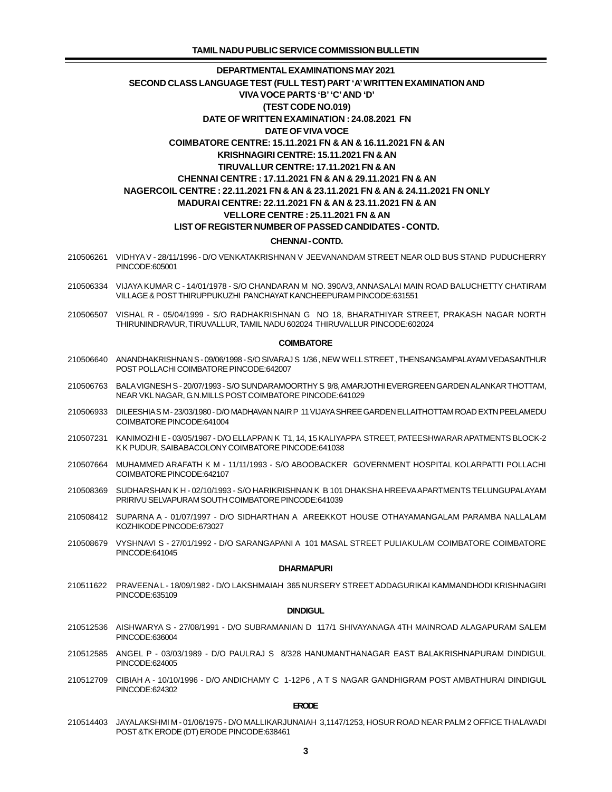- 210506261 VIDHYA V 28/11/1996 D/O VENKATAKRISHNAN V JEEVANANDAM STREET NEAR OLD BUS STAND PUDUCHERRY PINCODE:605001
- 210506334 VIJAYA KUMAR C 14/01/1978 S/O CHANDARAN M NO. 390A/3, ANNASALAI MAIN ROAD BALUCHETTY CHATIRAM VILLAGE & POST THIRUPPUKUZHI PANCHAYAT KANCHEEPURAM PINCODE:631551
- 210506507 VISHAL R 05/04/1999 S/O RADHAKRISHNAN G NO 18, BHARATHIYAR STREET, PRAKASH NAGAR NORTH THIRUNINDRAVUR, TIRUVALLUR, TAMIL NADU 602024 THIRUVALLUR PINCODE:602024

### **COIMBATORE**

- 210506640 ANANDHAKRISHNAN S 09/06/1998 S/O SIVARAJ S 1/36 , NEW WELL STREET , THENSANGAMPALAYAM VEDASANTHUR POST POLLACHI COIMBATORE PINCODE:642007
- 210506763 BALA VIGNESH S 20/07/1993 S/O SUNDARAMOORTHY S 9/8, AMARJOTHI EVERGREEN GARDEN ALANKAR THOTTAM, NEAR VKL NAGAR, G.N.MILLS POST COIMBATORE PINCODE:641029
- 210506933 DILEESHIA S M 23/03/1980 D/O MADHAVAN NAIR P 11 VIJAYA SHREE GARDEN ELLAITHOTTAM ROAD EXTN PEELAMEDU COIMBATORE PINCODE:641004
- 210507231 KANIMOZHI E 03/05/1987 D/O ELLAPPAN K T1, 14, 15 KALIYAPPA STREET, PATEESHWARAR APATMENTS BLOCK-2 K K PUDUR, SAIBABACOLONY COIMBATORE PINCODE:641038
- 210507664 MUHAMMED ARAFATH K M 11/11/1993 S/O ABOOBACKER GOVERNMENT HOSPITAL KOLARPATTI POLLACHI COIMBATORE PINCODE:642107
- 210508369 SUDHARSHAN K H 02/10/1993 S/O HARIKRISHNAN K B 101 DHAKSHA HREEVA APARTMENTS TELUNGUPALAYAM PRIRIVU SELVAPURAM SOUTH COIMBATORE PINCODE:641039
- 210508412 SUPARNA A 01/07/1997 D/O SIDHARTHAN A AREEKKOT HOUSE OTHAYAMANGALAM PARAMBA NALLALAM KOZHIKODE PINCODE:673027
- 210508679 VYSHNAVI S 27/01/1992 D/O SARANGAPANI A 101 MASAL STREET PULIAKULAM COIMBATORE COIMBATORE PINCODE:641045

#### **DHARMAPURI**

 210511622 PRAVEENA L - 18/09/1982 - D/O LAKSHMAIAH 365 NURSERY STREET ADDAGURIKAI KAMMANDHODI KRISHNAGIRI PINCODE:635109

### **DINDIGUL**

- 210512536 AISHWARYA S 27/08/1991 D/O SUBRAMANIAN D 117/1 SHIVAYANAGA 4TH MAINROAD ALAGAPURAM SALEM PINCODE:636004
- 210512585 ANGEL P 03/03/1989 D/O PAULRAJ S 8/328 HANUMANTHANAGAR EAST BALAKRISHNAPURAM DINDIGUL PINCODE:624005
- 210512709 CIBIAH A 10/10/1996 D/O ANDICHAMY C 1-12P6 , A T S NAGAR GANDHIGRAM POST AMBATHURAI DINDIGUL PINCODE:624302

#### **ERODE**

 210514403 JAYALAKSHMI M - 01/06/1975 - D/O MALLIKARJUNAIAH 3,1147/1253, HOSUR ROAD NEAR PALM 2 OFFICE THALAVADI POST &TK ERODE (DT) ERODE PINCODE:638461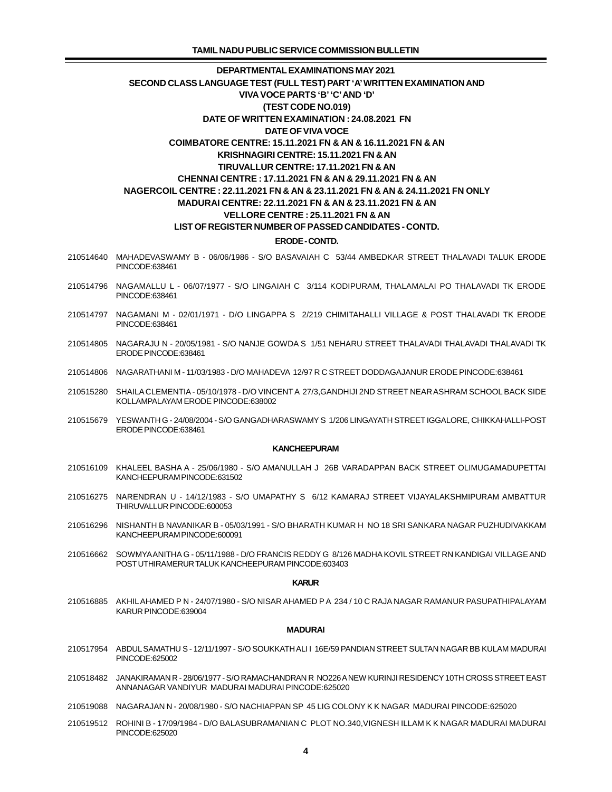- 210514640 MAHADEVASWAMY B 06/06/1986 S/O BASAVAIAH C 53/44 AMBEDKAR STREET THALAVADI TALUK ERODE PINCODE:638461
- 210514796 NAGAMALLU L 06/07/1977 S/O LINGAIAH C 3/114 KODIPURAM, THALAMALAI PO THALAVADI TK ERODE PINCODE:638461
- 210514797 NAGAMANI M 02/01/1971 D/O LINGAPPA S 2/219 CHIMITAHALLI VILLAGE & POST THALAVADI TK ERODE PINCODE:638461
- 210514805 NAGARAJU N 20/05/1981 S/O NANJE GOWDA S 1/51 NEHARU STREET THALAVADI THALAVADI THALAVADI TK ERODE PINCODE:638461
- 210514806 NAGARATHANI M 11/03/1983 D/O MAHADEVA 12/97 R C STREET DODDAGAJANUR ERODE PINCODE:638461
- 210515280 SHAILA CLEMENTIA 05/10/1978 D/O VINCENT A 27/3,GANDHIJI 2ND STREET NEAR ASHRAM SCHOOL BACK SIDE KOLLAMPALAYAM ERODE PINCODE:638002
- 210515679 YESWANTH G 24/08/2004 S/O GANGADHARASWAMY S 1/206 LINGAYATH STREET IGGALORE, CHIKKAHALLI-POST ERODE PINCODE:638461

#### **KANCHEEPURAM**

- 210516109 KHALEEL BASHA A 25/06/1980 S/O AMANULLAH J 26B VARADAPPAN BACK STREET OLIMUGAMADUPETTAI KANCHEEPURAM PINCODE:631502
- 210516275 NARENDRAN U 14/12/1983 S/O UMAPATHY S 6/12 KAMARAJ STREET VIJAYALAKSHMIPURAM AMBATTUR THIRUVALLUR PINCODE:600053
- 210516296 NISHANTH B NAVANIKAR B 05/03/1991 S/O BHARATH KUMAR H NO 18 SRI SANKARA NAGAR PUZHUDIVAKKAM KANCHEEPURAM PINCODE:600091
- 210516662 SOWMYA ANITHA G 05/11/1988 D/O FRANCIS REDDY G 8/126 MADHA KOVIL STREET RN KANDIGAI VILLAGE AND POST UTHIRAMERUR TALUK KANCHEEPURAM PINCODE:603403

#### **KARUR**

 210516885 AKHIL AHAMED P N - 24/07/1980 - S/O NISAR AHAMED P A 234 / 10 C RAJA NAGAR RAMANUR PASUPATHIPALAYAM KARUR PINCODE:639004

#### **MADURAI**

- 210517954 ABDUL SAMATHU S 12/11/1997 S/O SOUKKATH ALI I 16E/59 PANDIAN STREET SULTAN NAGAR BB KULAM MADURAI PINCODE:625002
- 210518482 JANAKIRAMAN R 28/06/1977 S/O RAMACHANDRAN R NO226 A NEW KURINJI RESIDENCY 10TH CROSS STREET EAST ANNANAGAR VANDIYUR MADURAI MADURAI PINCODE:625020
- 210519088 NAGARAJAN N 20/08/1980 S/O NACHIAPPAN SP 45 LIG COLONY K K NAGAR MADURAI PINCODE:625020
- 210519512 ROHINI B 17/09/1984 D/O BALASUBRAMANIAN C PLOT NO.340,VIGNESH ILLAM K K NAGAR MADURAI MADURAI PINCODE:625020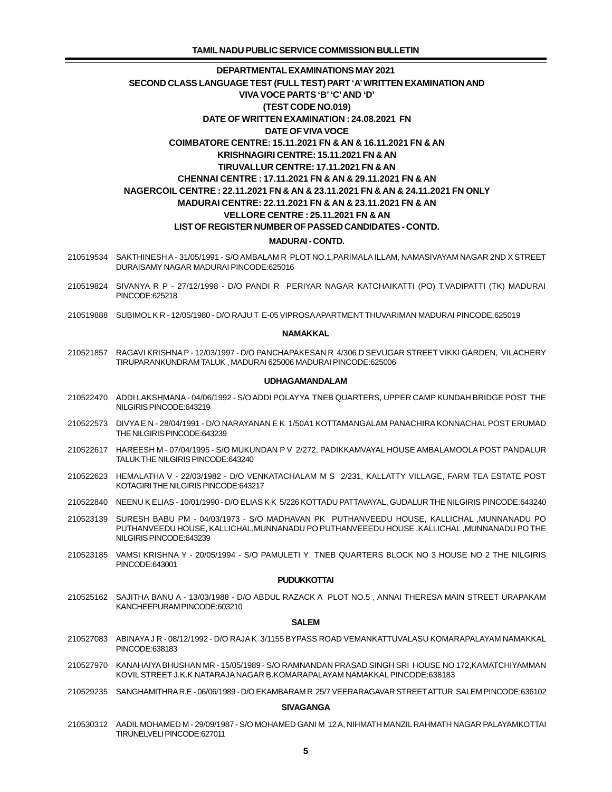- 210519534 SAKTHINESH A 31/05/1991 S/O AMBALAM R PLOT NO.1,PARIMALA ILLAM, NAMASIVAYAM NAGAR 2ND X STREET DURAISAMY NAGAR MADURAI PINCODE:625016
- 210519824 SIVANYA R P 27/12/1998 D/O PANDI R PERIYAR NAGAR KATCHAIKATTI (PO) T.VADIPATTI (TK) MADURAI PINCODE:625218
- 210519888 SUBIMOL K R 12/05/1980 D/O RAJU T E-05 VIPROSA APARTMENT THUVARIMAN MADURAI PINCODE:625019

### **NAMAKKAL**

 210521857 RAGAVI KRISHNA P - 12/03/1997 - D/O PANCHAPAKESAN R 4/306 D SEVUGAR STREET VIKKI GARDEN, VILACHERY TIRUPARANKUNDRAM TALUK , MADURAI 625006 MADURAI PINCODE:625006

### **UDHAGAMANDALAM**

- 210522470 ADDI LAKSHMANA 04/06/1992 S/O ADDI POLAYYA TNEB QUARTERS, UPPER CAMP KUNDAH BRIDGE POST THE NILGIRIS PINCODE:643219
- 210522573 DIVYA E N 28/04/1991 D/O NARAYANAN E K 1/50A1 KOTTAMANGALAM PANACHIRA KONNACHAL POST ERUMAD THE NILGIRIS PINCODE:643239
- 210522617 HAREESH M 07/04/1995 S/O MUKUNDAN P V 2/272, PADIKKAMVAYAL HOUSE AMBALAMOOLA POST PANDALUR TALUK THE NILGIRIS PINCODE:643240
- 210522623 HEMALATHA V 22/03/1982 D/O VENKATACHALAM M S 2/231, KALLATTY VILLAGE, FARM TEA ESTATE POST KOTAGIRI THE NILGIRIS PINCODE:643217
- 210522840 NEENU K ELIAS 10/01/1990 D/O ELIAS K K 5/226 KOTTADU PATTAVAYAL, GUDALUR THE NILGIRIS PINCODE:643240
- 210523139 SURESH BABU PM 04/03/1973 S/O MADHAVAN PK PUTHANVEEDU HOUSE, KALLICHAL ,MUNNANADU PO PUTHANVEEDU HOUSE, KALLICHAL,MUNNANADU PO PUTHANVEEEDU HOUSE ,KALLICHAL ,MUNNANADU PO THE NILGIRIS PINCODE:643239
- 210523185 VAMSI KRISHNA Y 20/05/1994 S/O PAMULETI Y TNEB QUARTERS BLOCK NO 3 HOUSE NO 2 THE NILGIRIS PINCODE:643001

#### **PUDUKKOTTAI**

 210525162 SAJITHA BANU A - 13/03/1988 - D/O ABDUL RAZACK A PLOT NO.5 , ANNAI THERESA MAIN STREET URAPAKAM KANCHEEPURAM PINCODE:603210

#### **SALEM**

- 210527083 ABINAYA J R 08/12/1992 D/O RAJA K 3/1155 BYPASS ROAD VEMANKATTUVALASU KOMARAPALAYAM NAMAKKAL PINCODE:638183
- 210527970 KANAHAIYA BHUSHAN MR 15/05/1989 S/O RAMNANDAN PRASAD SINGH SRI HOUSE NO 172,KAMATCHIYAMMAN KOVIL STREET J.K.K NATARAJA NAGAR B.KOMARAPALAYAM NAMAKKAL PINCODE:638183
- 210529235 SANGHAMITHRA R.E 06/06/1989 D/O EKAMBARAM R 25/7 VEERARAGAVAR STREET ATTUR SALEM PINCODE:636102

### **SIVAGANGA**

 210530312 AADIL MOHAMED M - 29/09/1987 - S/O MOHAMED GANI M 12 A, NIHMATH MANZIL RAHMATH NAGAR PALAYAMKOTTAI TIRUNELVELI PINCODE:627011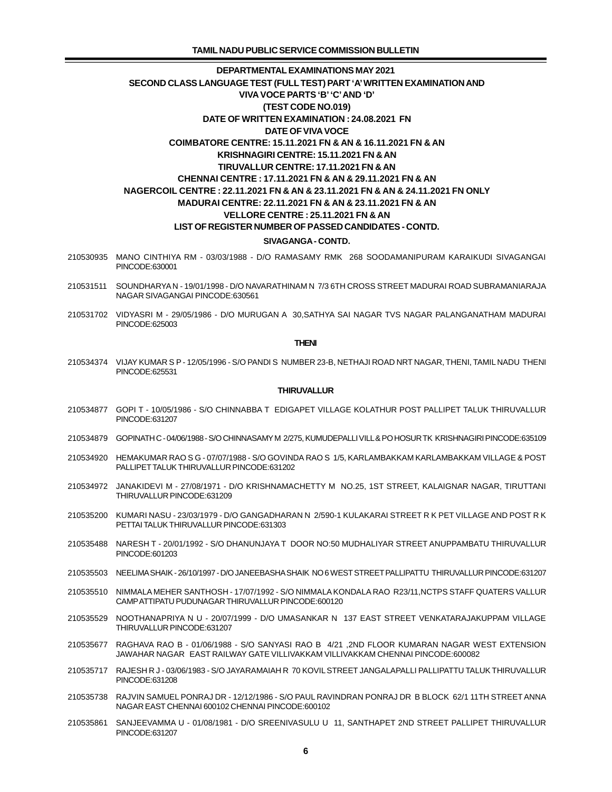- 210530935 MANO CINTHIYA RM 03/03/1988 D/O RAMASAMY RMK 268 SOODAMANIPURAM KARAIKUDI SIVAGANGAI PINCODE:630001
- 210531511 SOUNDHARYA N 19/01/1998 D/O NAVARATHINAM N 7/3 6TH CROSS STREET MADURAI ROAD SUBRAMANIARAJA NAGAR SIVAGANGAI PINCODE:630561
- 210531702 VIDYASRI M 29/05/1986 D/O MURUGAN A 30,SATHYA SAI NAGAR TVS NAGAR PALANGANATHAM MADURAI PINCODE:625003

#### **THENI**

 210534374 VIJAY KUMAR S P - 12/05/1996 - S/O PANDI S NUMBER 23-B, NETHAJI ROAD NRT NAGAR, THENI, TAMIL NADU THENI PINCODE:625531

### **THIRUVALLUR**

- 210534877 GOPI T 10/05/1986 S/O CHINNABBA T EDIGAPET VILLAGE KOLATHUR POST PALLIPET TALUK THIRUVALLUR PINCODE:631207
- 210534879 GOPINATH C 04/06/1988 S/O CHINNASAMY M 2/275, KUMUDEPALLI VILL & PO HOSUR TK KRISHNAGIRI PINCODE:635109
- 210534920 HEMAKUMAR RAO S G 07/07/1988 S/O GOVINDA RAO S 1/5, KARLAMBAKKAM KARLAMBAKKAM VILLAGE & POST PALLIPET TALUK THIRUVALLUR PINCODE:631202
- 210534972 JANAKIDEVI M 27/08/1971 D/O KRISHNAMACHETTY M NO.25, 1ST STREET, KALAIGNAR NAGAR, TIRUTTANI THIRUVALLUR PINCODE:631209
- 210535200 KUMARI NASU 23/03/1979 D/O GANGADHARAN N 2/590-1 KULAKARAI STREET R K PET VILLAGE AND POST R K PETTAI TALUK THIRUVALLUR PINCODE:631303
- 210535488 NARESH T 20/01/1992 S/O DHANUNJAYA T DOOR NO:50 MUDHALIYAR STREET ANUPPAMBATU THIRUVALLUR PINCODE:601203
- 210535503 NEELIMA SHAIK 26/10/1997 D/O JANEEBASHA SHAIK NO 6 WEST STREET PALLIPATTU THIRUVALLUR PINCODE:631207
- 210535510 NIMMALA MEHER SANTHOSH 17/07/1992 S/O NIMMALA KONDALA RAO R23/11,NCTPS STAFF QUATERS VALLUR CAMP ATTIPATU PUDUNAGAR THIRUVALLUR PINCODE:600120
- 210535529 NOOTHANAPRIYA N U 20/07/1999 D/O UMASANKAR N 137 EAST STREET VENKATARAJAKUPPAM VILLAGE THIRUVALLUR PINCODE:631207
- 210535677 RAGHAVA RAO B 01/06/1988 S/O SANYASI RAO B 4/21 ,2ND FLOOR KUMARAN NAGAR WEST EXTENSION JAWAHAR NAGAR EAST RAILWAY GATE VILLIVAKKAM VILLIVAKKAM CHENNAI PINCODE:600082
- 210535717 RAJESH R J 03/06/1983 S/O JAYARAMAIAH R 70 KOVIL STREET JANGALAPALLI PALLIPATTU TALUK THIRUVALLUR PINCODE:631208
- 210535738 RAJVIN SAMUEL PONRAJ DR 12/12/1986 S/O PAUL RAVINDRAN PONRAJ DR B BLOCK 62/1 11TH STREET ANNA NAGAR EAST CHENNAI 600102 CHENNAI PINCODE:600102
- 210535861 SANJEEVAMMA U 01/08/1981 D/O SREENIVASULU U 11, SANTHAPET 2ND STREET PALLIPET THIRUVALLUR PINCODE:631207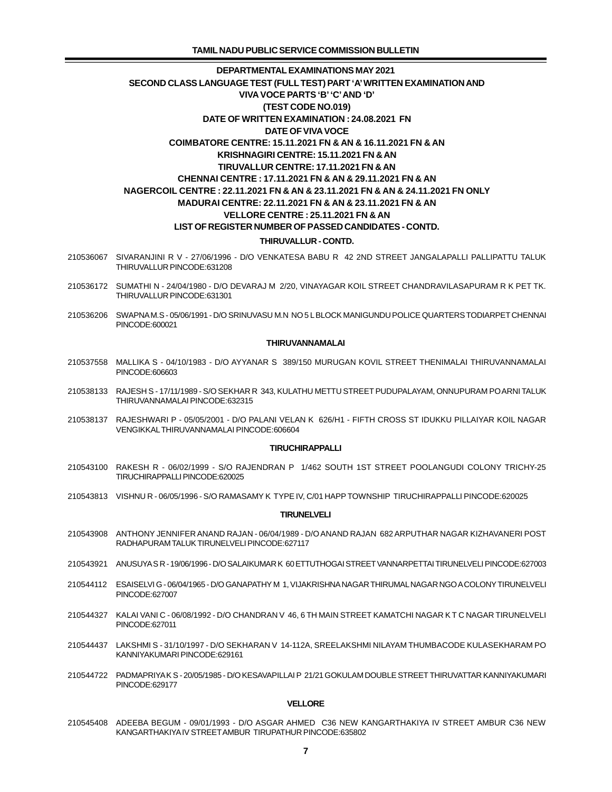- 210536067 SIVARANJINI R V 27/06/1996 D/O VENKATESA BABU R 42 2ND STREET JANGALAPALLI PALLIPATTU TALUK THIRUVALLUR PINCODE:631208
- 210536172 SUMATHI N 24/04/1980 D/O DEVARAJ M 2/20, VINAYAGAR KOIL STREET CHANDRAVILASAPURAM R K PET TK. THIRUVALLUR PINCODE:631301
- 210536206 SWAPNA M.S 05/06/1991 D/O SRINUVASU M.N NO 5 L BLOCK MANIGUNDU POLICE QUARTERS TODIARPET CHENNAI PINCODE:600021

#### **THIRUVANNAMALAI**

- 210537558 MALLIKA S 04/10/1983 D/O AYYANAR S 389/150 MURUGAN KOVIL STREET THENIMALAI THIRUVANNAMALAI PINCODE:606603
- 210538133 RAJESH S 17/11/1989 S/O SEKHAR R 343, KULATHU METTU STREET PUDUPALAYAM, ONNUPURAM PO ARNI TALUK THIRUVANNAMALAI PINCODE:632315
- 210538137 RAJESHWARI P 05/05/2001 D/O PALANI VELAN K 626/H1 FIFTH CROSS ST IDUKKU PILLAIYAR KOIL NAGAR VENGIKKAL THIRUVANNAMALAI PINCODE:606604

#### **TIRUCHIRAPPALLI**

- 210543100 RAKESH R 06/02/1999 S/O RAJENDRAN P 1/462 SOUTH 1ST STREET POOLANGUDI COLONY TRICHY-25 TIRUCHIRAPPALLI PINCODE:620025
- 210543813 VISHNU R 06/05/1996 S/O RAMASAMY K TYPE IV, C/01 HAPP TOWNSHIP TIRUCHIRAPPALLI PINCODE:620025

#### **TIRUNELVELI**

- 210543908 ANTHONY JENNIFER ANAND RAJAN 06/04/1989 D/O ANAND RAJAN 682 ARPUTHAR NAGAR KIZHAVANERI POST RADHAPURAM TALUK TIRUNELVELI PINCODE:627117
- 210543921 ANUSUYA S R 19/06/1996 D/O SALAIKUMAR K 60 ETTUTHOGAI STREET VANNARPETTAI TIRUNELVELI PINCODE:627003
- 210544112 ESAISELVI G 06/04/1965 D/O GANAPATHY M 1, VIJAKRISHNA NAGAR THIRUMAL NAGAR NGO A COLONY TIRUNELVELI PINCODE:627007
- 210544327 KALAI VANI C 06/08/1992 D/O CHANDRAN V 46, 6 TH MAIN STREET KAMATCHI NAGAR K T C NAGAR TIRUNELVELI PINCODE:627011
- 210544437 LAKSHMI S 31/10/1997 D/O SEKHARAN V 14-112A, SREELAKSHMI NILAYAM THUMBACODE KULASEKHARAM PO KANNIYAKUMARI PINCODE:629161
- 210544722 PADMAPRIYA K S 20/05/1985 D/O KESAVAPILLAI P 21/21 GOKULAM DOUBLE STREET THIRUVATTAR KANNIYAKUMARI PINCODE:629177

### **VELLORE**

 210545408 ADEEBA BEGUM - 09/01/1993 - D/O ASGAR AHMED C36 NEW KANGARTHAKIYA IV STREET AMBUR C36 NEW KANGARTHAKIYA IV STREET AMBUR TIRUPATHUR PINCODE:635802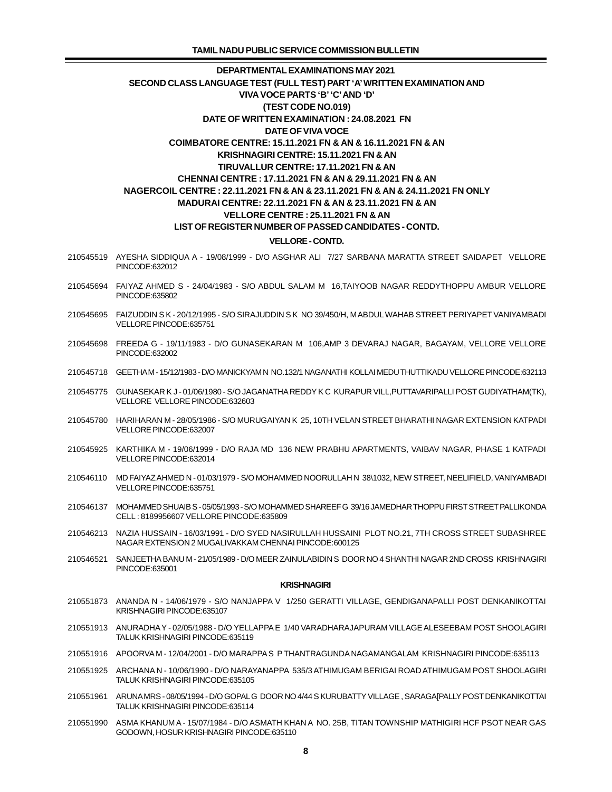- 210545519 AYESHA SIDDIQUA A 19/08/1999 D/O ASGHAR ALI 7/27 SARBANA MARATTA STREET SAIDAPET VELLORE PINCODE:632012
- 210545694 FAIYAZ AHMED S 24/04/1983 S/O ABDUL SALAM M 16,TAIYOOB NAGAR REDDYTHOPPU AMBUR VELLORE PINCODE:635802
- 210545695 FAIZUDDIN S K 20/12/1995 S/O SIRAJUDDIN S K NO 39/450/H, M ABDUL WAHAB STREET PERIYAPET VANIYAMBADI VELLORE PINCODE:635751
- 210545698 FREEDA G 19/11/1983 D/O GUNASEKARAN M 106,AMP 3 DEVARAJ NAGAR, BAGAYAM, VELLORE VELLORE PINCODE:632002
- 210545718 GEETHA M 15/12/1983 D/O MANICKYAM N NO.132/1 NAGANATHI KOLLAI MEDU THUTTIKADU VELLORE PINCODE:632113
- 210545775 GUNASEKAR K J 01/06/1980 S/O JAGANATHA REDDY K C KURAPUR VILL,PUTTAVARIPALLI POST GUDIYATHAM(TK), VELLORE VELLORE PINCODE:632603
- 210545780 HARIHARAN M 28/05/1986 S/O MURUGAIYAN K 25, 10TH VELAN STREET BHARATHI NAGAR EXTENSION KATPADI VELLORE PINCODE:632007
- 210545925 KARTHIKA M 19/06/1999 D/O RAJA MD 136 NEW PRABHU APARTMENTS, VAIBAV NAGAR, PHASE 1 KATPADI VELLORE PINCODE:632014
- 210546110 MD FAIYAZ AHMED N 01/03/1979 S/O MOHAMMED NOORULLAH N 38\1032, NEW STREET, NEELIFIELD, VANIYAMBADI VELLORE PINCODE:635751
- 210546137 MOHAMMED SHUAIB S 05/05/1993 S/O MOHAMMED SHAREEF G 39/16 JAMEDHAR THOPPU FIRST STREET PALLIKONDA CELL : 8189956607 VELLORE PINCODE:635809
- 210546213 NAZIA HUSSAIN 16/03/1991 D/O SYED NASIRULLAH HUSSAINI PLOT NO.21, 7TH CROSS STREET SUBASHREE NAGAR EXTENSION 2 MUGALIVAKKAM CHENNAI PINCODE:600125
- 210546521 SANJEETHA BANU M 21/05/1989 D/O MEER ZAINULABIDIN S DOOR NO 4 SHANTHI NAGAR 2ND CROSS KRISHNAGIRI PINCODE:635001

#### **KRISHNAGIRI**

- 210551873 ANANDA N 14/06/1979 S/O NANJAPPA V 1/250 GERATTI VILLAGE, GENDIGANAPALLI POST DENKANIKOTTAI KRISHNAGIRI PINCODE:635107
- 210551913 ANURADHA Y 02/05/1988 D/O YELLAPPA E 1/40 VARADHARAJAPURAM VILLAGE ALESEEBAM POST SHOOLAGIRI TALUK KRISHNAGIRI PINCODE:635119
- 210551916 APOORVA M 12/04/2001 D/O MARAPPA S P THANTRAGUNDA NAGAMANGALAM KRISHNAGIRI PINCODE:635113
- 210551925 ARCHANA N 10/06/1990 D/O NARAYANAPPA 535/3 ATHIMUGAM BERIGAI ROAD ATHIMUGAM POST SHOOLAGIRI TALUK KRISHNAGIRI PINCODE:635105
- 210551961 ARUNA MRS 08/05/1994 D/O GOPAL G DOOR NO 4/44 S KURUBATTY VILLAGE , SARAGA[PALLY POST DENKANIKOTTAI TALUK KRISHNAGIRI PINCODE:635114
- 210551990 ASMA KHANUM A 15/07/1984 D/O ASMATH KHAN A NO. 25B, TITAN TOWNSHIP MATHIGIRI HCF PSOT NEAR GAS GODOWN, HOSUR KRISHNAGIRI PINCODE:635110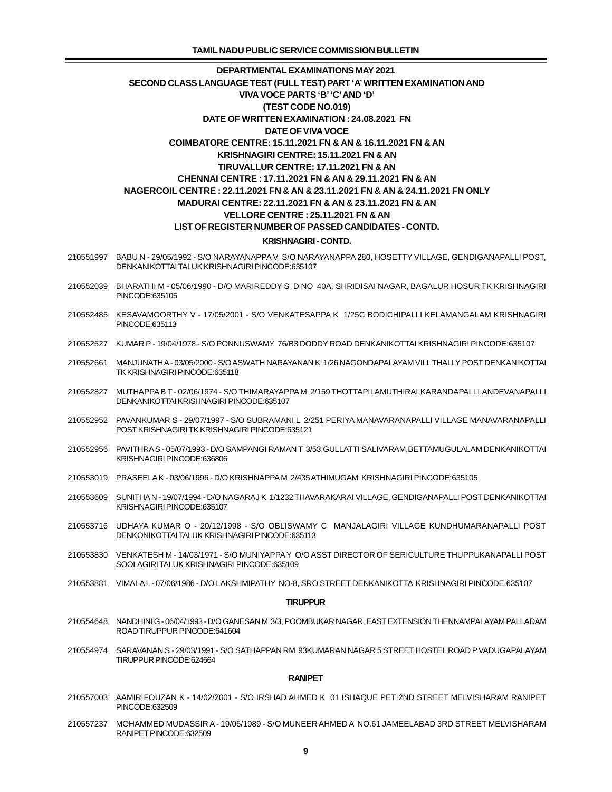- 210551997 BABU N 29/05/1992 S/O NARAYANAPPA V S/O NARAYANAPPA 280, HOSETTY VILLAGE, GENDIGANAPALLI POST, DENKANIKOTTAI TALUK KRISHNAGIRI PINCODE:635107
- 210552039 BHARATHI M 05/06/1990 D/O MARIREDDY S D NO 40A, SHRIDISAI NAGAR, BAGALUR HOSUR TK KRISHNAGIRI PINCODE:635105
- 210552485 KESAVAMOORTHY V 17/05/2001 S/O VENKATESAPPA K 1/25C BODICHIPALLI KELAMANGALAM KRISHNAGIRI PINCODE:635113
- 210552527 KUMAR P 19/04/1978 S/O PONNUSWAMY 76/B3 DODDY ROAD DENKANIKOTTAI KRISHNAGIRI PINCODE:635107
- 210552661 MANJUNATH A 03/05/2000 S/O ASWATH NARAYANAN K 1/26 NAGONDAPALAYAM VILL THALLY POST DENKANIKOTTAI TK KRISHNAGIRI PINCODE:635118
- 210552827 MUTHAPPA B T 02/06/1974 S/O THIMARAYAPPA M 2/159 THOTTAPILAMUTHIRAI,KARANDAPALLI,ANDEVANAPALLI DENKANIKOTTAI KRISHNAGIRI PINCODE:635107
- 210552952 PAVANKUMAR S 29/07/1997 S/O SUBRAMANI L 2/251 PERIYA MANAVARANAPALLI VILLAGE MANAVARANAPALLI POST KRISHNAGIRI TK KRISHNAGIRI PINCODE:635121
- 210552956 PAVITHRA S 05/07/1993 D/O SAMPANGI RAMAN T 3/53,GULLATTI SALIVARAM,BETTAMUGULALAM DENKANIKOTTAI KRISHNAGIRI PINCODE:636806
- 210553019 PRASEELA K 03/06/1996 D/O KRISHNAPPA M 2/435 ATHIMUGAM KRISHNAGIRI PINCODE:635105
- 210553609 SUNITHA N 19/07/1994 D/O NAGARAJ K 1/1232 THAVARAKARAI VILLAGE, GENDIGANAPALLI POST DENKANIKOTTAI KRISHNAGIRI PINCODE:635107
- 210553716 UDHAYA KUMAR O 20/12/1998 S/O OBLISWAMY C MANJALAGIRI VILLAGE KUNDHUMARANAPALLI POST DENKONIKOTTAI TALUK KRISHNAGIRI PINCODE:635113
- 210553830 VENKATESH M 14/03/1971 S/O MUNIYAPPA Y O/O ASST DIRECTOR OF SERICULTURE THUPPUKANAPALLI POST SOOLAGIRI TALUK KRISHNAGIRI PINCODE:635109
- 210553881 VIMALA L 07/06/1986 D/O LAKSHMIPATHY NO-8, SRO STREET DENKANIKOTTA KRISHNAGIRI PINCODE:635107

#### **TIRUPPUR**

- 210554648 NANDHINI G 06/04/1993 D/O GANESAN M 3/3, POOMBUKAR NAGAR, EAST EXTENSION THENNAMPALAYAM PALLADAM ROAD TIRUPPUR PINCODE:641604
- 210554974 SARAVANAN S 29/03/1991 S/O SATHAPPAN RM 93KUMARAN NAGAR 5 STREET HOSTEL ROAD P.VADUGAPALAYAM TIRUPPUR PINCODE:624664

#### **RANIPET**

- 210557003 AAMIR FOUZAN K 14/02/2001 S/O IRSHAD AHMED K 01 ISHAQUE PET 2ND STREET MELVISHARAM RANIPET PINCODE:632509
- 210557237 MOHAMMED MUDASSIR A 19/06/1989 S/O MUNEER AHMED A NO.61 JAMEELABAD 3RD STREET MELVISHARAM RANIPET PINCODE:632509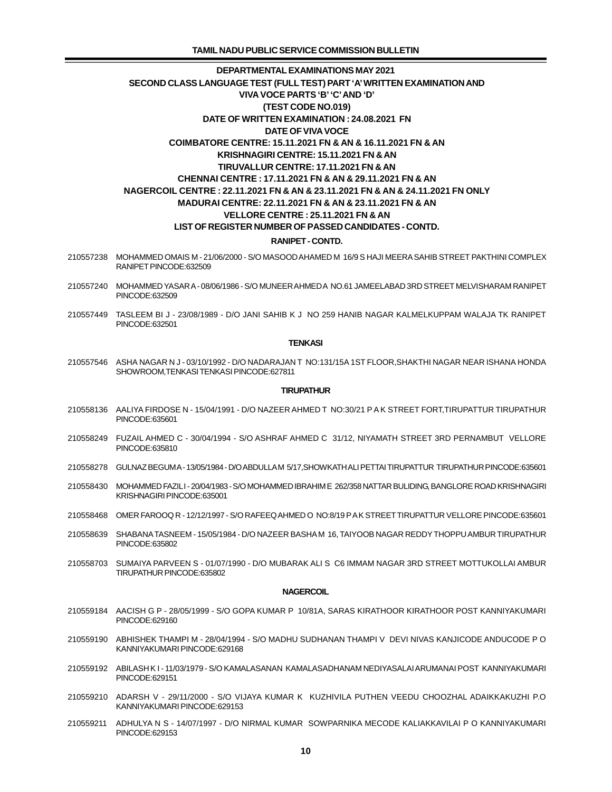- 210557238 MOHAMMED OMAIS M 21/06/2000 S/O MASOOD AHAMED M 16/9 S HAJI MEERA SAHIB STREET PAKTHINI COMPLEX RANIPET PINCODE:632509
- 210557240 MOHAMMED YASAR A 08/06/1986 S/O MUNEER AHMED A NO.61 JAMEELABAD 3RD STREET MELVISHARAM RANIPET PINCODE:632509
- 210557449 TASLEEM BI J 23/08/1989 D/O JANI SAHIB K J NO 259 HANIB NAGAR KALMELKUPPAM WALAJA TK RANIPET PINCODE:632501

#### **TENKASI**

 210557546 ASHA NAGAR N J - 03/10/1992 - D/O NADARAJAN T NO:131/15A 1ST FLOOR,SHAKTHI NAGAR NEAR ISHANA HONDA SHOWROOM,TENKASI TENKASI PINCODE:627811

### **TIRUPATHUR**

- 210558136 AALIYA FIRDOSE N 15/04/1991 D/O NAZEER AHMED T NO:30/21 P A K STREET FORT,TIRUPATTUR TIRUPATHUR PINCODE:635601
- 210558249 FUZAIL AHMED C 30/04/1994 S/O ASHRAF AHMED C 31/12, NIYAMATH STREET 3RD PERNAMBUT VELLORE PINCODE:635810
- 210558278 GULNAZ BEGUM A 13/05/1984 D/O ABDULLA M 5/17,SHOWKATH ALI PETTAI TIRUPATTUR TIRUPATHUR PINCODE:635601
- 210558430 MOHAMMED FAZIL I 20/04/1983 S/O MOHAMMED IBRAHIM E 262/358 NATTAR BULIDING, BANGLORE ROAD KRISHNAGIRI KRISHNAGIRI PINCODE:635001
- 210558468 OMER FAROOQ R 12/12/1997 S/O RAFEEQ AHMED O NO:8/19 P A K STREET TIRUPATTUR VELLORE PINCODE:635601
- 210558639 SHABANA TASNEEM 15/05/1984 D/O NAZEER BASHA M 16, TAIYOOB NAGAR REDDY THOPPU AMBUR TIRUPATHUR PINCODE:635802
- 210558703 SUMAIYA PARVEEN S 01/07/1990 D/O MUBARAK ALI S C6 IMMAM NAGAR 3RD STREET MOTTUKOLLAI AMBUR TIRUPATHUR PINCODE:635802

#### **NAGERCOIL**

- 210559184 AACISH G P 28/05/1999 S/O GOPA KUMAR P 10/81A, SARAS KIRATHOOR KIRATHOOR POST KANNIYAKUMARI PINCODE:629160
- 210559190 ABHISHEK THAMPI M 28/04/1994 S/O MADHU SUDHANAN THAMPI V DEVI NIVAS KANJICODE ANDUCODE P O KANNIYAKUMARI PINCODE:629168
- 210559192 ABILASH K I 11/03/1979 S/O KAMALASANAN KAMALASADHANAM NEDIYASALAI ARUMANAI POST KANNIYAKUMARI PINCODE:629151
- 210559210 ADARSH V 29/11/2000 S/O VIJAYA KUMAR K KUZHIVILA PUTHEN VEEDU CHOOZHAL ADAIKKAKUZHI P.O KANNIYAKUMARI PINCODE:629153
- 210559211 ADHULYA N S 14/07/1997 D/O NIRMAL KUMAR SOWPARNIKA MECODE KALIAKKAVILAI P O KANNIYAKUMARI PINCODE:629153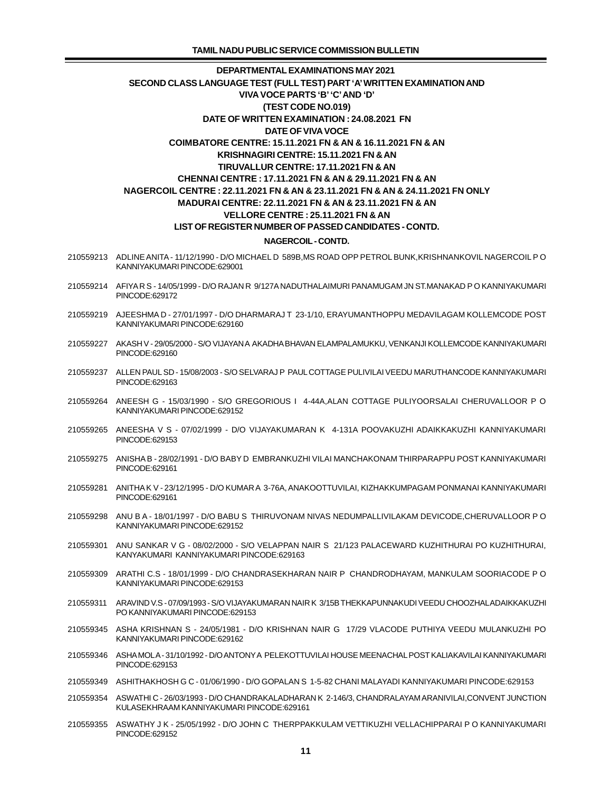- 210559213 ADLINE ANITA 11/12/1990 D/O MICHAEL D 589B,MS ROAD OPP PETROL BUNK,KRISHNANKOVIL NAGERCOIL P O KANNIYAKUMARI PINCODE:629001
- 210559214 AFIYA R S 14/05/1999 D/O RAJAN R 9/127A NADUTHALAIMURI PANAMUGAM JN ST.MANAKAD P O KANNIYAKUMARI PINCODE:629172
- 210559219 AJEESHMA D 27/01/1997 D/O DHARMARAJ T 23-1/10, ERAYUMANTHOPPU MEDAVILAGAM KOLLEMCODE POST KANNIYAKUMARI PINCODE:629160
- 210559227 AKASH V 29/05/2000 S/O VIJAYAN A AKADHA BHAVAN ELAMPALAMUKKU, VENKANJI KOLLEMCODE KANNIYAKUMARI PINCODE:629160
- 210559237 ALLEN PAUL SD 15/08/2003 S/O SELVARAJ P PAUL COTTAGE PULIVILAI VEEDU MARUTHANCODE KANNIYAKUMARI PINCODE:629163
- 210559264 ANEESH G 15/03/1990 S/O GREGORIOUS I 4-44A,ALAN COTTAGE PULIYOORSALAI CHERUVALLOOR P O KANNIYAKUMARI PINCODE:629152
- 210559265 ANEESHA V S 07/02/1999 D/O VIJAYAKUMARAN K 4-131A POOVAKUZHI ADAIKKAKUZHI KANNIYAKUMARI PINCODE:629153
- 210559275 ANISHA B 28/02/1991 D/O BABY D EMBRANKUZHI VILAI MANCHAKONAM THIRPARAPPU POST KANNIYAKUMARI PINCODE:629161
- 210559281 ANITHA K V 23/12/1995 D/O KUMAR A 3-76A, ANAKOOTTUVILAI, KIZHAKKUMPAGAM PONMANAI KANNIYAKUMARI PINCODE:629161
- 210559298 ANU B A 18/01/1997 D/O BABU S THIRUVONAM NIVAS NEDUMPALLIVILAKAM DEVICODE,CHERUVALLOOR P O KANNIYAKUMARI PINCODE:629152
- 210559301 ANU SANKAR V G 08/02/2000 S/O VELAPPAN NAIR S 21/123 PALACEWARD KUZHITHURAI PO KUZHITHURAI, KANYAKUMARI KANNIYAKUMARI PINCODE:629163
- 210559309 ARATHI C.S 18/01/1999 D/O CHANDRASEKHARAN NAIR P CHANDRODHAYAM, MANKULAM SOORIACODE P O KANNIYAKUMARI PINCODE:629153
- 210559311 ARAVIND V.S 07/09/1993 S/O VIJAYAKUMARAN NAIR K 3/15B THEKKAPUNNAKUDI VEEDU CHOOZHAL ADAIKKAKUZHI PO KANNIYAKUMARI PINCODE:629153
- 210559345 ASHA KRISHNAN S 24/05/1981 D/O KRISHNAN NAIR G 17/29 VLACODE PUTHIYA VEEDU MULANKUZHI PO KANNIYAKUMARI PINCODE:629162
- 210559346 ASHA MOL A 31/10/1992 D/O ANTONY A PELEKOTTUVILAI HOUSE MEENACHAL POST KALIAKAVILAI KANNIYAKUMARI PINCODE:629153
- 210559349 ASHITHAKHOSH G C 01/06/1990 D/O GOPALAN S 1-5-82 CHANI MALAYADI KANNIYAKUMARI PINCODE:629153
- 210559354 ASWATHI C 26/03/1993 D/O CHANDRAKALADHARAN K 2-146/3, CHANDRALAYAM ARANIVILAI,CONVENT JUNCTION KULASEKHRAAM KANNIYAKUMARI PINCODE:629161
- 210559355 ASWATHY J K 25/05/1992 D/O JOHN C THERPPAKKULAM VETTIKUZHI VELLACHIPPARAI P O KANNIYAKUMARI PINCODE:629152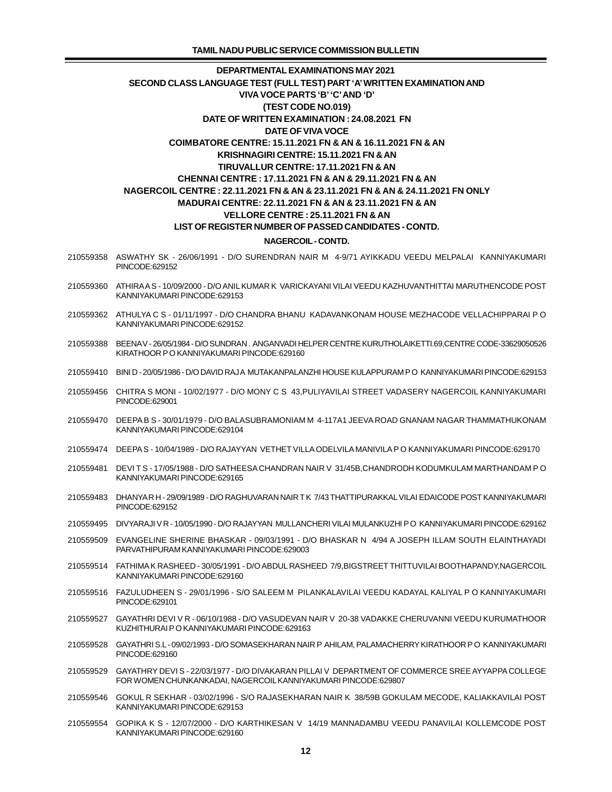- 210559358 ASWATHY SK 26/06/1991 D/O SURENDRAN NAIR M 4-9/71 AYIKKADU VEEDU MELPALAI KANNIYAKUMARI PINCODE:629152
- 210559360 ATHIRA A S 10/09/2000 D/O ANIL KUMAR K VARICKAYANI VILAI VEEDU KAZHUVANTHITTAI MARUTHENCODE POST KANNIYAKUMARI PINCODE:629153
- 210559362 ATHULYA C S 01/11/1997 D/O CHANDRA BHANU KADAVANKONAM HOUSE MEZHACODE VELLACHIPPARAI P O KANNIYAKUMARI PINCODE:629152
- 210559388 BEENA V 26/05/1984 D/O SUNDRAN . ANGANVADI HELPER CENTRE KURUTHOLAIKETTI.69,CENTRE CODE-33629050526 KIRATHOOR P O KANNIYAKUMARI PINCODE:629160
- 210559410 BINI D 20/05/1986 D/O DAVID RAJ A MUTAKANPALANZHI HOUSE KULAPPURAM P O KANNIYAKUMARI PINCODE:629153
- 210559456 CHITRA S MONI 10/02/1977 D/O MONY C S 43,PULIYAVILAI STREET VADASERY NAGERCOIL KANNIYAKUMARI PINCODE:629001
- 210559470 DEEPA B S 30/01/1979 D/O BALASUBRAMONIAM M 4-117A1 JEEVA ROAD GNANAM NAGAR THAMMATHUKONAM KANNIYAKUMARI PINCODE:629104
- 210559474 DEEPA S 10/04/1989 D/O RAJAYYAN VETHET VILLA ODELVILA MANIVILA P O KANNIYAKUMARI PINCODE:629170
- 210559481 DEVI T S 17/05/1988 D/O SATHEESA CHANDRAN NAIR V 31/45B,CHANDRODH KODUMKULAM MARTHANDAM P O KANNIYAKUMARI PINCODE:629165
- 210559483 DHANYA R H 29/09/1989 D/O RAGHUVARAN NAIR T K 7/43 THATTIPURAKKAL VILAI EDAICODE POST KANNIYAKUMARI PINCODE:629152
- 210559495 DIVYARAJI V R 10/05/1990 D/O RAJAYYAN MULLANCHERI VILAI MULANKUZHI P O KANNIYAKUMARI PINCODE:629162
- 210559509 EVANGELINE SHERINE BHASKAR 09/03/1991 D/O BHASKAR N 4/94 A JOSEPH ILLAM SOUTH ELAINTHAYADI PARVATHIPURAM KANNIYAKUMARI PINCODE:629003
- 210559514 FATHIMA K RASHEED 30/05/1991 D/O ABDUL RASHEED 7/9,BIGSTREET THITTUVILAI BOOTHAPANDY,NAGERCOIL KANNIYAKUMARI PINCODE:629160
- 210559516 FAZULUDHEEN S 29/01/1996 S/O SALEEM M PILANKALAVILAI VEEDU KADAYAL KALIYAL P O KANNIYAKUMARI PINCODE:629101
- 210559527 GAYATHRI DEVI V R 06/10/1988 D/O VASUDEVAN NAIR V 20-38 VADAKKE CHERUVANNI VEEDU KURUMATHOOR KUZHITHURAI P O KANNIYAKUMARI PINCODE:629163
- 210559528 GAYATHRI S.L 09/02/1993 D/O SOMASEKHARAN NAIR P AHILAM, PALAMACHERRY KIRATHOOR P O KANNIYAKUMARI PINCODE:629160
- 210559529 GAYATHRY DEVI S 22/03/1977 D/O DIVAKARAN PILLAI V DEPARTMENT OF COMMERCE SREE AYYAPPA COLLEGE FOR WOMEN CHUNKANKADAI, NAGERCOIL KANNIYAKUMARI PINCODE:629807
- 210559546 GOKUL R SEKHAR 03/02/1996 S/O RAJASEKHARAN NAIR K 38/59B GOKULAM MECODE, KALIAKKAVILAI POST KANNIYAKUMARI PINCODE:629153
- 210559554 GOPIKA K S 12/07/2000 D/O KARTHIKESAN V 14/19 MANNADAMBU VEEDU PANAVILAI KOLLEMCODE POST KANNIYAKUMARI PINCODE:629160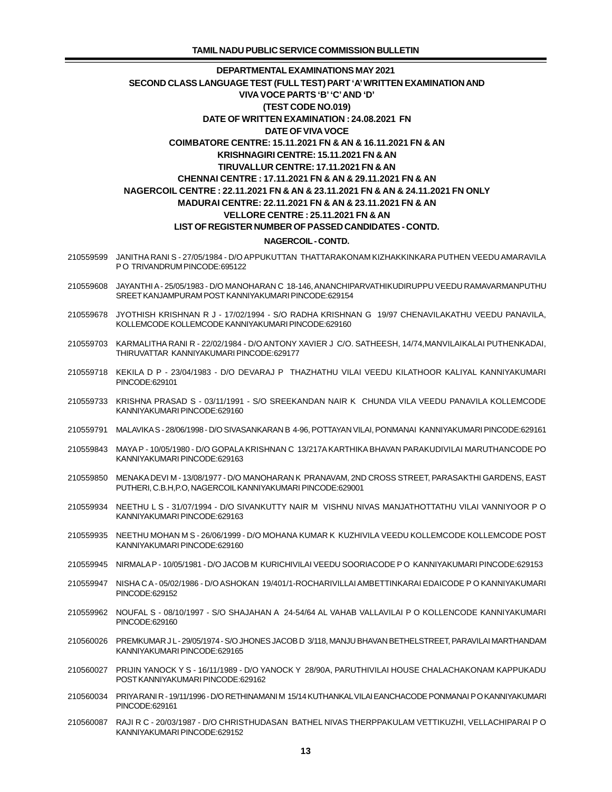- 210559599 JANITHA RANI S 27/05/1984 D/O APPUKUTTAN THATTARAKONAM KIZHAKKINKARA PUTHEN VEEDU AMARAVILA PO TRIVANDRUM PINCODE:695122
- 210559608 JAYANTHI A 25/05/1983 D/O MANOHARAN C 18-146, ANANCHIPARVATHIKUDIRUPPU VEEDU RAMAVARMANPUTHU SREET KANJAMPURAM POST KANNIYAKUMARI PINCODE:629154
- 210559678 JYOTHISH KRISHNAN R J 17/02/1994 S/O RADHA KRISHNAN G 19/97 CHENAVILAKATHU VEEDU PANAVILA, KOLLEMCODE KOLLEMCODE KANNIYAKUMARI PINCODE:629160
- 210559703 KARMALITHA RANI R 22/02/1984 D/O ANTONY XAVIER J C/O. SATHEESH, 14/74,MANVILAIKALAI PUTHENKADAI, THIRUVATTAR KANNIYAKUMARI PINCODE:629177
- 210559718 KEKILA D P 23/04/1983 D/O DEVARAJ P THAZHATHU VILAI VEEDU KILATHOOR KALIYAL KANNIYAKUMARI PINCODE:629101
- 210559733 KRISHNA PRASAD S 03/11/1991 S/O SREEKANDAN NAIR K CHUNDA VILA VEEDU PANAVILA KOLLEMCODE KANNIYAKUMARI PINCODE:629160
- 210559791 MALAVIKA S 28/06/1998 D/O SIVASANKARAN B 4-96, POTTAYAN VILAI, PONMANAI KANNIYAKUMARI PINCODE:629161
- 210559843 MAYA P 10/05/1980 D/O GOPALA KRISHNAN C 13/217A KARTHIKA BHAVAN PARAKUDIVILAI MARUTHANCODE PO KANNIYAKUMARI PINCODE:629163
- 210559850 MENAKA DEVI M 13/08/1977 D/O MANOHARAN K PRANAVAM, 2ND CROSS STREET, PARASAKTHI GARDENS, EAST PUTHERI, C.B.H,P.O, NAGERCOIL KANNIYAKUMARI PINCODE:629001
- 210559934 NEETHU L S 31/07/1994 D/O SIVANKUTTY NAIR M VISHNU NIVAS MANJATHOTTATHU VILAI VANNIYOOR P O KANNIYAKUMARI PINCODE:629163
- 210559935 NEETHU MOHAN M S 26/06/1999 D/O MOHANA KUMAR K KUZHIVILA VEEDU KOLLEMCODE KOLLEMCODE POST KANNIYAKUMARI PINCODE:629160
- 210559945 NIRMALA P 10/05/1981 D/O JACOB M KURICHIVILAI VEEDU SOORIACODE P O KANNIYAKUMARI PINCODE:629153
- 210559947 NISHA C A 05/02/1986 D/O ASHOKAN 19/401/1-ROCHARIVILLAI AMBETTINKARAI EDAICODE P O KANNIYAKUMARI PINCODE:629152
- 210559962 NOUFAL S 08/10/1997 S/O SHAJAHAN A 24-54/64 AL VAHAB VALLAVILAI P O KOLLENCODE KANNIYAKUMARI PINCODE:629160
- 210560026 PREMKUMAR J L 29/05/1974 S/O JHONES JACOB D 3/118, MANJU BHAVAN BETHELSTREET, PARAVILAI MARTHANDAM KANNIYAKUMARI PINCODE:629165
- 210560027 PRIJIN YANOCK Y S 16/11/1989 D/O YANOCK Y 28/90A, PARUTHIVILAI HOUSE CHALACHAKONAM KAPPUKADU POST KANNIYAKUMARI PINCODE:629162
- 210560034 PRIYA RANI R 19/11/1996 D/O RETHINAMANI M 15/14 KUTHANKAL VILAI EANCHACODE PONMANAI P O KANNIYAKUMARI PINCODE:629161
- 210560087 RAJI R C 20/03/1987 D/O CHRISTHUDASAN BATHEL NIVAS THERPPAKULAM VETTIKUZHI, VELLACHIPARAI P O KANNIYAKUMARI PINCODE:629152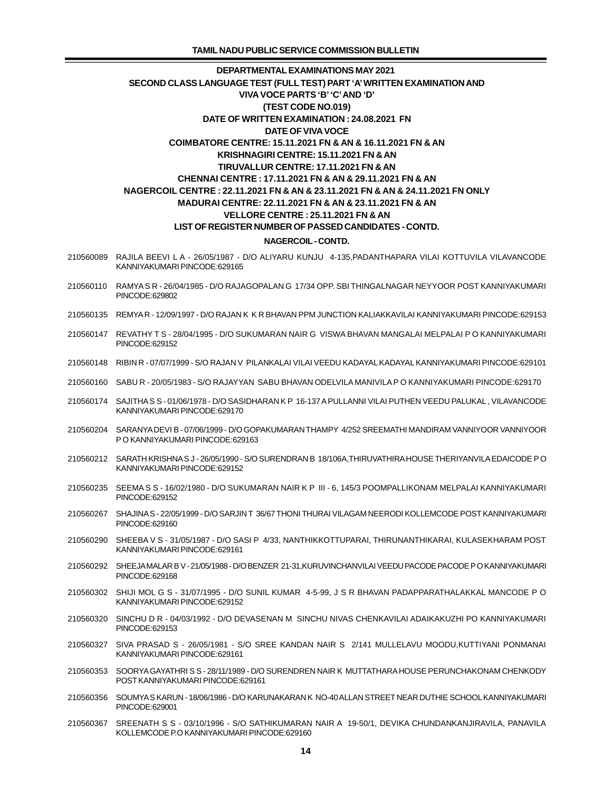- 210560089 RAJILA BEEVI L A 26/05/1987 D/O ALIYARU KUNJU 4-135,PADANTHAPARA VILAI KOTTUVILA VILAVANCODE KANNIYAKUMARI PINCODE:629165
- 210560110 RAMYA S R 26/04/1985 D/O RAJAGOPALAN G 17/34 OPP. SBI THINGALNAGAR NEYYOOR POST KANNIYAKUMARI PINCODE:629802
- 210560135 REMYA R 12/09/1997 D/O RAJAN K K R BHAVAN PPM JUNCTION KALIAKKAVILAI KANNIYAKUMARI PINCODE:629153
- 210560147 REVATHY T S 28/04/1995 D/O SUKUMARAN NAIR G VISWA BHAVAN MANGALAI MELPALAI P O KANNIYAKUMARI PINCODE:629152
- 210560148 RIBIN R 07/07/1999 S/O RAJAN V PILANKALAI VILAI VEEDU KADAYAL KADAYAL KANNIYAKUMARI PINCODE:629101
- 210560160 SABU R 20/05/1983 S/O RAJAYYAN SABU BHAVAN ODELVILA MANIVILA P O KANNIYAKUMARI PINCODE:629170
- 210560174 SAJITHA S S 01/06/1978 D/O SASIDHARAN K P 16-137 A PULLANNI VILAI PUTHEN VEEDU PALUKAL , VILAVANCODE KANNIYAKUMARI PINCODE:629170
- 210560204 SARANYA DEVI B 07/06/1999 D/O GOPAKUMARAN THAMPY 4/252 SREEMATHI MANDIRAM VANNIYOOR VANNIYOOR P O KANNIYAKUMARI PINCODE:629163
- 210560212 SARATH KRISHNA S J 26/05/1990 S/O SURENDRAN B 18/106A,THIRUVATHIRA HOUSE THERIYANVILA EDAICODE P O KANNIYAKUMARI PINCODE:629152
- 210560235 SEEMA S S 16/02/1980 D/O SUKUMARAN NAIR K P III 6, 145/3 POOMPALLIKONAM MELPALAI KANNIYAKUMARI PINCODE:629152
- 210560267 SHAJINA S 22/05/1999 D/O SARJIN T 36/67 THONI THURAI VILAGAM NEERODI KOLLEMCODE POST KANNIYAKUMARI PINCODE:629160
- 210560290 SHEEBA V S 31/05/1987 D/O SASI P 4/33, NANTHIKKOTTUPARAI, THIRUNANTHIKARAI, KULASEKHARAM POST KANNIYAKUMARI PINCODE:629161
- 210560292 SHEEJA MALAR B V 21/05/1988 D/O BENZER 21-31,KURUVINCHANVILAI VEEDU PACODE PACODE P O KANNIYAKUMARI PINCODE:629168
- 210560302 SHIJI MOL G S 31/07/1995 D/O SUNIL KUMAR 4-5-99, J S R BHAVAN PADAPPARATHALAKKAL MANCODE P O KANNIYAKUMARI PINCODE:629152
- 210560320 SINCHU D R 04/03/1992 D/O DEVASENAN M SINCHU NIVAS CHENKAVILAI ADAIKAKUZHI PO KANNIYAKUMARI PINCODE:629153
- 210560327 SIVA PRASAD S 26/05/1981 S/O SREE KANDAN NAIR S 2/141 MULLELAVU MOODU,KUTTIYANI PONMANAI KANNIYAKUMARI PINCODE:629161
- 210560353 SOORYA GAYATHRI S S 28/11/1989 D/O SURENDREN NAIR K MUTTATHARA HOUSE PERUNCHAKONAM CHENKODY POST KANNIYAKUMARI PINCODE:629161
- 210560356 SOUMYA S KARUN 18/06/1986 D/O KARUNAKARAN K NO-40 ALLAN STREET NEAR DUTHIE SCHOOL KANNIYAKUMARI PINCODE:629001
- 210560367 SREENATH S S 03/10/1996 S/O SATHIKUMARAN NAIR A 19-50/1, DEVIKA CHUNDANKANJIRAVILA, PANAVILA KOLLEMCODE P.O KANNIYAKUMARI PINCODE:629160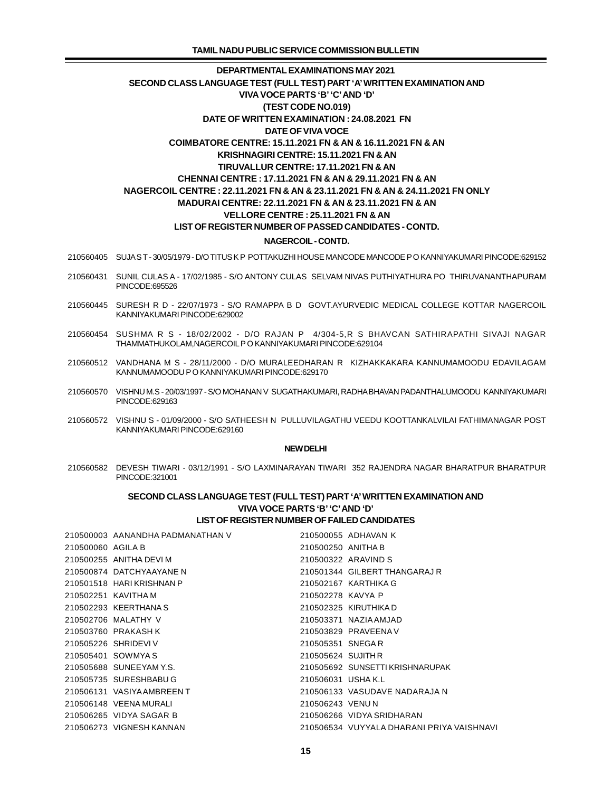- 210560405 SUJA S T 30/05/1979 D/O TITUS K P POTTAKUZHI HOUSE MANCODE MANCODE P O KANNIYAKUMARI PINCODE:629152
- 210560431 SUNIL CULAS A 17/02/1985 S/O ANTONY CULAS SELVAM NIVAS PUTHIYATHURA PO THIRUVANANTHAPURAM PINCODE:695526
- 210560445 SURESH R D 22/07/1973 S/O RAMAPPA B D GOVT.AYURVEDIC MEDICAL COLLEGE KOTTAR NAGERCOIL KANNIYAKUMARI PINCODE:629002
- 210560454 SUSHMA R S 18/02/2002 D/O RAJAN P 4/304-5,R S BHAVCAN SATHIRAPATHI SIVAJI NAGAR THAMMATHUKOLAM,NAGERCOIL P O KANNIYAKUMARI PINCODE:629104
- 210560512 VANDHANA M S 28/11/2000 D/O MURALEEDHARAN R KIZHAKKAKARA KANNUMAMOODU EDAVILAGAM KANNUMAMOODU P O KANNIYAKUMARI PINCODE:629170
- 210560570 VISHNU M.S 20/03/1997 S/O MOHANAN V SUGATHAKUMARI, RADHA BHAVAN PADANTHALUMOODU KANNIYAKUMARI PINCODE:629163
- 210560572 VISHNU S 01/09/2000 S/O SATHEESH N PULLUVILAGATHU VEEDU KOOTTANKALVILAI FATHIMANAGAR POST KANNIYAKUMARI PINCODE:629160

### **NEW DELHI**

 210560582 DEVESH TIWARI - 03/12/1991 - S/O LAXMINARAYAN TIWARI 352 RAJENDRA NAGAR BHARATPUR BHARATPUR PINCODE:321001

## SECOND CLASS LANGUAGE TEST (FULL TEST) PART 'A' WRITTEN EXAMINATION AND **VIVA VOCE PARTS 'B' 'C'AND 'D' LIST OF REGISTER NUMBER OF FAILED CANDIDATES**

|                   | 210500003 AANANDHA PADMANATHAN V |                    | 210500055 ADHAVAN K                       |
|-------------------|----------------------------------|--------------------|-------------------------------------------|
| 210500060 AGILA B |                                  | 210500250 ANITHA B |                                           |
|                   | 210500255 ANITHA DEVI M          |                    | 210500322 ARAVIND S                       |
|                   | 210500874 DATCHYAAYANE N         |                    | 210501344 GILBERT THANGARAJ R             |
|                   | 210501518 HARIKRISHNAN P         |                    | 210502167 KARTHIKA G                      |
|                   | 210502251 KAVITHA M              | 210502278 KAVYA P  |                                           |
|                   | 210502293 KEERTHANA S            |                    | 210502325 KIRUTHIKA D                     |
|                   | 210502706 MALATHY V              |                    | 210503371 NAZIAAMJAD                      |
|                   | 210503760 PRAKASH K              |                    | 210503829 PRAVEENA V                      |
|                   | 210505226 SHRIDEVI V             | 210505351 SNEGAR   |                                           |
|                   | 210505401 SOWMYAS                | 210505624 SUJITH R |                                           |
|                   | 210505688 SUNEEYAM Y.S.          |                    | 210505692 SUNSETTI KRISHNARUPAK           |
|                   | 210505735 SURESHBABU G           | 210506031 USHA K.L |                                           |
|                   | 210506131 VASIYAAMBREEN T        |                    | 210506133 VASUDAVE NADARAJA N             |
|                   | 210506148 VEENA MURALI           | 210506243 VENUN    |                                           |
|                   | 210506265 VIDYA SAGAR B          |                    | 210506266 VIDYA SRIDHARAN                 |
|                   | 210506273 VIGNESH KANNAN         |                    | 210506534 VUYYALA DHARANI PRIYA VAISHNAVI |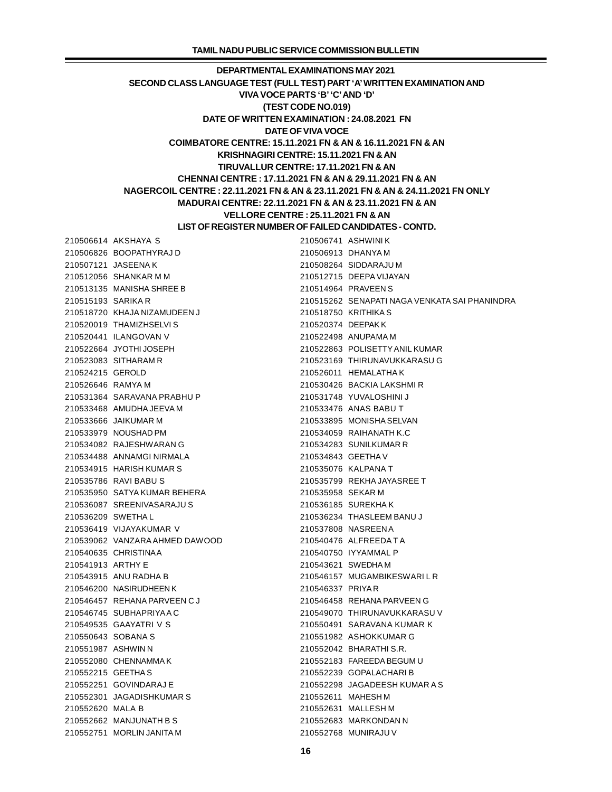AKSHAYA S 210506741 ASHWINI K BOOPATHYRAJ D 210506913 DHANYA M JASEENA K 210508264 SIDDARAJU M SHANKAR M M 210512715 DEEPA VIJAYAN MANISHA SHREE B 210514964 PRAVEEN S SARIKA R 210515262 SENAPATI NAGA VENKATA SAI PHANINDRA KHAJA NIZAMUDEEN J 210518750 KRITHIKA S THAMIZHSELVI S 210520374 DEEPAK K ILANGOVAN V 210522498 ANUPAMA M JYOTHI JOSEPH 210522863 POLISETTY ANIL KUMAR SITHARAM R 210523169 THIRUNAVUKKARASU G GEROLD 210526011 HEMALATHA K RAMYA M 210530426 BACKIA LAKSHMI R SARAVANA PRABHU P 210531748 YUVALOSHINI J AMUDHA JEEVA M 210533476 ANAS BABU T JAIKUMAR M 210533895 MONISHA SELVAN NOUSHAD PM 210534059 RAIHANATH K.C RAJESHWARAN G 210534283 SUNILKUMAR R ANNAMGI NIRMALA 210534843 GEETHA V HARISH KUMAR S 210535076 KALPANA T RAVI BABU S 210535799 REKHA JAYASREE T SATYA KUMAR BEHERA 210535958 SEKAR M SREENIVASARAJU S 210536185 SUREKHA K SWETHA L 210536234 THASLEEM BANU J VIJAYAKUMAR V 210537808 NASREEN A VANZARA AHMED DAWOOD 210540476 ALFREEDA T A CHRISTINA A 210540750 IYYAMMAL P ARTHY E 210543621 SWEDHA M ANU RADHA B 210546157 MUGAMBIKESWARI L R NASIRUDHEEN K 210546337 PRIYA R REHANA PARVEEN C J 210546458 REHANA PARVEEN G SUBHAPRIYA A C 210549070 THIRUNAVUKKARASU V GAAYATRI V S 210550491 SARAVANA KUMAR K SOBANA S 210551982 ASHOKKUMAR G ASHWIN N 210552042 BHARATHI S.R. CHENNAMMA K 210552183 FAREEDA BEGUM U GEETHA S 210552239 GOPALACHARI B GOVINDARAJ E 210552298 JAGADEESH KUMAR A S JAGADISHKUMAR S 210552611 MAHESH M MALA B 210552631 MALLESH M MANJUNATH B S 210552683 MARKONDAN N MORLIN JANITA M 210552768 MUNIRAJU V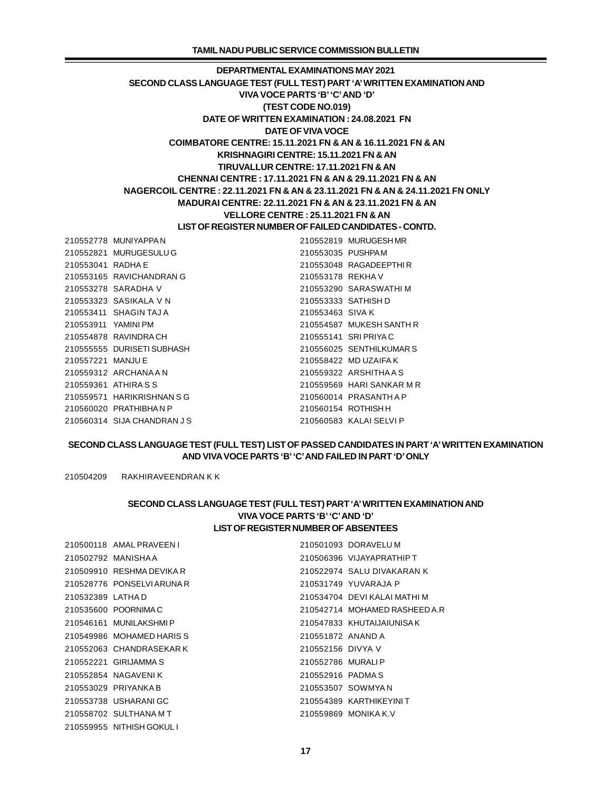MUNIYAPPA N 210552819 MURUGESH MR MURUGESULU G 210553035 PUSHPA M RADHA E 210553048 RAGADEEPTHI R RAVICHANDRAN G 210553178 REKHA V SARADHA V 210553290 SARASWATHI M SASIKALA V N 210553333 SATHISH D SHAGIN TAJ A 210553463 SIVA K YAMINI PM 210554587 MUKESH SANTH R RAVINDRA CH 210555141 SRI PRIYA C DURISETI SUBHASH 210556025 SENTHILKUMAR S MANJU E 210558422 MD UZAIFA K ARCHANA A N 210559322 ARSHITHA A S ATHIRA S S 210559569 HARI SANKAR M R HARIKRISHNAN S G 210560014 PRASANTH A P PRATHIBHA N P 210560154 ROTHISH H SIJA CHANDRAN J S 210560583 KALAI SELVI P

# **SECOND CLASS LANGUAGE TEST (FULL TEST) LIST OF PASSED CANDIDATES IN PART 'A' WRITTEN EXAMINATION AND VIVA VOCE PARTS 'B' 'C'AND FAILED IN PART 'D' ONLY**

210504209 RAKHIRAVEENDRAN K K

# **SECOND CLASS LANGUAGE TEST (FULL TEST) PART 'A' WRITTEN EXAMINATION AND VIVA VOCE PARTS 'B' 'C'AND 'D' LIST OF REGISTER NUMBER OF ABSENTEES**

|                  | 210500118 AMAL PRAVEEN I  |                   | 210501093 DORAVELUM           |
|------------------|---------------------------|-------------------|-------------------------------|
|                  | 210502792 MANISHAA        |                   | 210506396 VIJAYAPRATHIP T     |
|                  | 210509910 RESHMA DEVIKA R |                   | 210522974 SALU DIVAKARAN K    |
|                  | 210528776 PONSELVIARUNA R |                   | 210531749 YUVARAJA P          |
| 210532389 LATHAD |                           |                   | 210534704 DEVI KALAI MATHI M  |
|                  | 210535600 POORNIMAC       |                   | 210542714 MOHAMED RASHEED A.R |
|                  | 210546161 MUNILAKSHMIP    |                   | 210547833 KHUTAIJAIUNISAK     |
|                  | 210549986 MOHAMED HARIS S | 210551872 ANAND A |                               |
|                  | 210552063 CHANDRASEKAR K  | 210552156 DIVYA V |                               |
|                  | 210552221 GIRIJAMMA S     | 210552786 MURALIP |                               |
|                  | 210552854 NAGAVENIK       | 210552916 PADMAS  |                               |
|                  | 210553029 PRIYANKA B      |                   | 210553507 SOWMYAN             |
|                  | 210553738 USHARANIGC      |                   | 210554389 KARTHIKEYINI T      |
|                  | 210558702 SULTHANAMT      |                   | 210559869 MONIKA K.V          |
|                  | 210559955 NITHISH GOKUL I |                   |                               |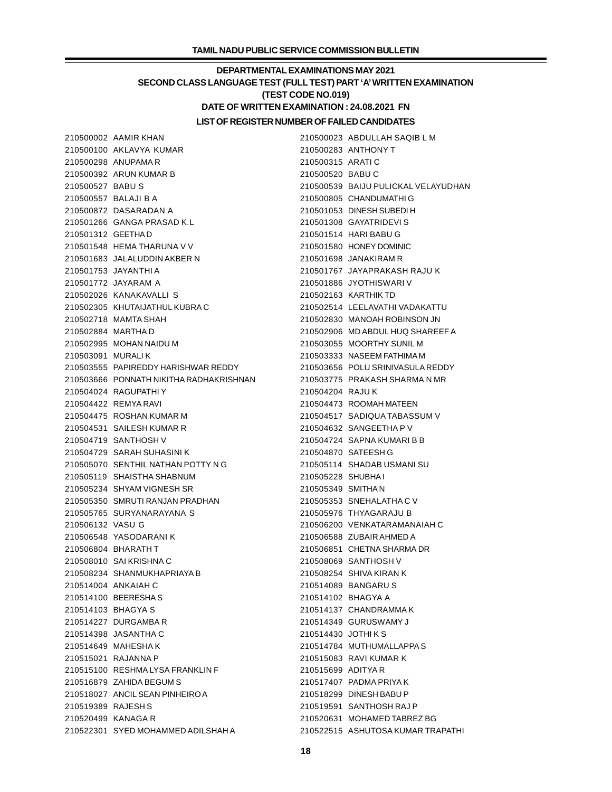# **DEPARTMENTAL EXAMINATIONS MAY 2021 SECOND CLASS LANGUAGE TEST (FULL TEST) PART 'A' WRITTEN EXAMINATION (TEST CODE NO.019) DATE OF WRITTEN EXAMINATION : 24.08.2021 FN LIST OF REGISTER NUMBER OF FAILED CANDIDATES**

 AKLAVYA KUMAR 210500283 ANTHONY T ANUPAMA R 210500315 ARATI C ARUN KUMAR B 210500520 BABU C BABU S 210500539 BAIJU PULICKAL VELAYUDHAN BALAJI B A 210500805 CHANDUMATHI G DASARADAN A 210501053 DINESH SUBEDI H GANGA PRASAD K.L 210501308 GAYATRIDEVI S GEETHA D 210501514 HARI BABU G HEMA THARUNA V V 210501580 HONEY DOMINIC JALALUDDIN AKBER N 210501698 JANAKIRAM R JAYANTHI A 210501767 JAYAPRAKASH RAJU K JAYARAM A 210501886 JYOTHISWARI V KANAKAVALLI S 210502163 KARTHIK TD KHUTAIJATHUL KUBRA C 210502514 LEELAVATHI VADAKATTU MAMTA SHAH 210502830 MANOAH ROBINSON JN MARTHA D 210502906 MD ABDUL HUQ SHAREEF A MOHAN NAIDU M 210503055 MOORTHY SUNIL M MURALI K 210503333 NASEEM FATHIMA M PAPIREDDY HARISHWAR REDDY 210503656 POLU SRINIVASULA REDDY PONNATH NIKITHA RADHAKRISHNAN 210503775 PRAKASH SHARMA N MR RAGUPATHI Y 210504204 RAJU K REMYA RAVI 210504473 ROOMAH MATEEN ROSHAN KUMAR M 210504517 SADIQUA TABASSUM V SAILESH KUMAR R 210504632 SANGEETHA P V SANTHOSH V 210504724 SAPNA KUMARI B B SARAH SUHASINI K 210504870 SATEESH G SENTHIL NATHAN POTTY N G 210505114 SHADAB USMANI SU SHAISTHA SHABNUM 210505228 SHUBHA I SHYAM VIGNESH SR 210505349 SMITHA N SMRUTI RANJAN PRADHAN 210505353 SNEHALATHA C V SURYANARAYANA S 210505976 THYAGARAJU B VASU G 210506200 VENKATARAMANAIAH C YASODARANI K 210506588 ZUBAIR AHMED A BHARATH T 210506851 CHETNA SHARMA DR SAI KRISHNA C 210508069 SANTHOSH V SHANMUKHAPRIAYA B 210508254 SHIVA KIRAN K ANKAIAH C 210514089 BANGARU S BEERESHA S 210514102 BHAGYA A BHAGYA S 210514137 CHANDRAMMA K DURGAMBA R 210514349 GURUSWAMY J JASANTHA C 210514430 JOTHI K S MAHESHA K 210514784 MUTHUMALLAPPA S RAJANNA P 210515083 RAVI KUMAR K RESHMA LYSA FRANKLIN F 210515699 ADITYA R ZAHIDA BEGUM S 210517407 PADMA PRIYA K ANCIL SEAN PINHEIRO A 210518299 DINESH BABU P RAJESH S 210519591 SANTHOSH RAJ P KANAGA R 210520631 MOHAMED TABREZ BG SYED MOHAMMED ADILSHAH A 210522515 ASHUTOSA KUMAR TRAPATHI

AAMIR KHAN 210500023 ABDULLAH SAQIB L M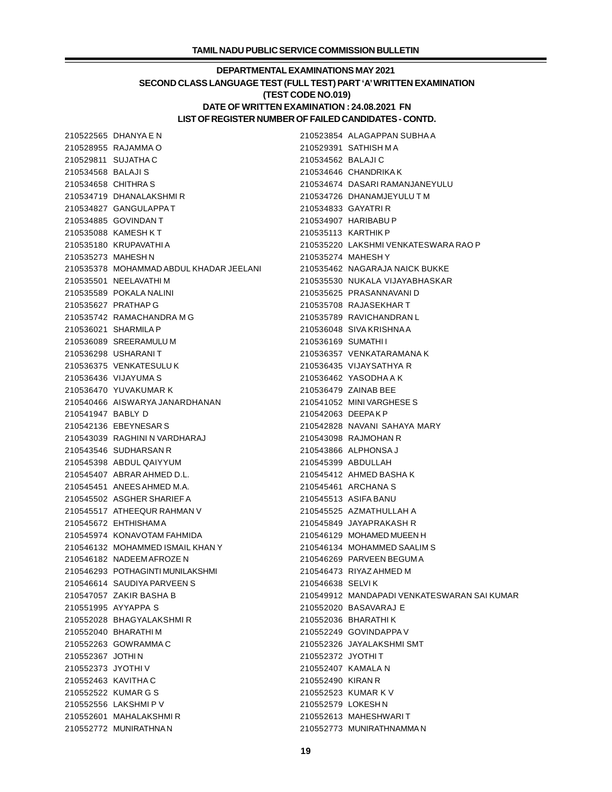# **DEPARTMENTAL EXAMINATIONS MAY 2021 SECOND CLASS LANGUAGE TEST (FULL TEST) PART 'A' WRITTEN EXAMINATION (TEST CODE NO.019) DATE OF WRITTEN EXAMINATION : 24.08.2021 FN LIST OF REGISTER NUMBER OF FAILED CANDIDATES - CONTD.**

 RAJAMMA O 210529391 SATHISH M A SUJATHA C 210534562 BALAJI C BALAJI S 210534646 CHANDRIKA K CHITHRA S 210534674 DASARI RAMANJANEYULU DHANALAKSHMI R 210534726 DHANAMJEYULU T M GANGULAPPA T 210534833 GAYATRI R GOVINDAN T 210534907 HARIBABU P KAMESH K T 210535113 KARTHIK P KRUPAVATHI A 210535220 LAKSHMI VENKATESWARA RAO P MAHESH N 210535274 MAHESH Y MOHAMMAD ABDUL KHADAR JEELANI 210535462 NAGARAJA NAICK BUKKE NEELAVATHI M 210535530 NUKALA VIJAYABHASKAR POKALA NALINI 210535625 PRASANNAVANI D PRATHAP G 210535708 RAJASEKHAR T RAMACHANDRA M G 210535789 RAVICHANDRAN L SHARMILA P 210536048 SIVA KRISHNA A SREERAMULU M 210536169 SUMATHI I USHARANI T 210536357 VENKATARAMANA K VENKATESULU K 210536435 VIJAYSATHYA R VIJAYUMA S 210536462 YASODHA A K YUVAKUMAR K 210536479 ZAINAB BEE AISWARYA JANARDHANAN 210541052 MINI VARGHESE S BABLY D 210542063 DEEPA K P EBEYNESAR S 210542828 NAVANI SAHAYA MARY RAGHINI N VARDHARAJ 210543098 RAJMOHAN R SUDHARSAN R 210543866 ALPHONSA J ABDUL QAIYYUM 210545399 ABDULLAH ABRAR AHMED D.L. 210545412 AHMED BASHA K ANEES AHMED M.A. 210545461 ARCHANA S ASGHER SHARIEF A 210545513 ASIFA BANU ATHEEQUR RAHMAN V 210545525 AZMATHULLAH A EHTHISHAM A 210545849 JAYAPRAKASH R KONAVOTAM FAHMIDA 210546129 MOHAMED MUEEN H MOHAMMED ISMAIL KHAN Y 210546134 MOHAMMED SAALIM S NADEEM AFROZE N 210546269 PARVEEN BEGUM A POTHAGINTI MUNILAKSHMI 210546473 RIYAZ AHMED M SAUDIYA PARVEEN S 210546638 SELVI K ZAKIR BASHA B 210549912 MANDAPADI VENKATESWARAN SAI KUMAR AYYAPPA S 210552020 BASAVARAJ E BHAGYALAKSHMI R 210552036 BHARATHI K BHARATHI M 210552249 GOVINDAPPA V GOWRAMMA C 210552326 JAYALAKSHMI SMT JOTHI N 210552372 JYOTHI T JYOTHI V 210552407 KAMALA N KAVITHA C 210552490 KIRAN R KUMAR G S 210552523 KUMAR K V LAKSHMI P V 210552579 LOKESH N MAHALAKSHMI R 210552613 MAHESHWARI T MUNIRATHNA N 210552773 MUNIRATHNAMMA N

DHANYA E N 210523854 ALAGAPPAN SUBHA A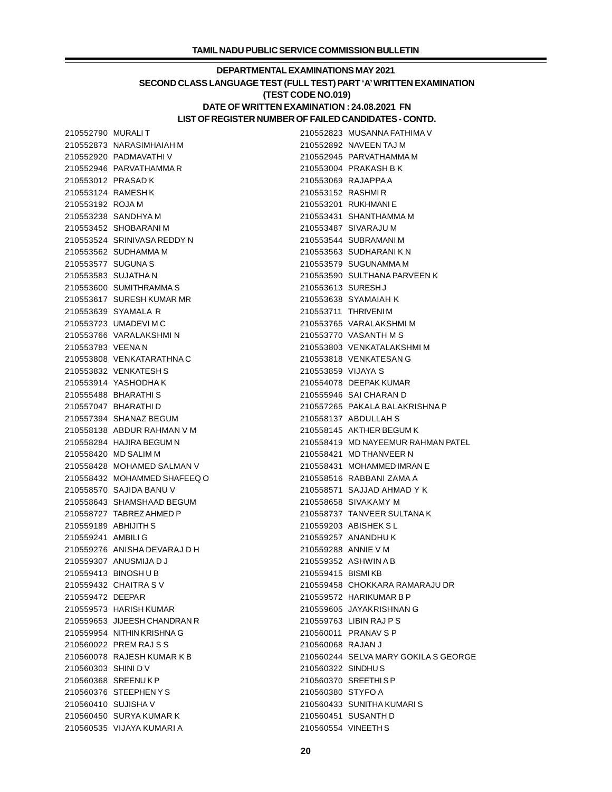# **DEPARTMENTAL EXAMINATIONS MAY 2021 SECOND CLASS LANGUAGE TEST (FULL TEST) PART 'A' WRITTEN EXAMINATION (TEST CODE NO.019) DATE OF WRITTEN EXAMINATION : 24.08.2021 FN LIST OF REGISTER NUMBER OF FAILED CANDIDATES - CONTD.**

| 210552790 MURALIT   |                              |                    | 210552823 MUSANNA FATHIMA V          |
|---------------------|------------------------------|--------------------|--------------------------------------|
|                     | 210552873 NARASIMHAIAH M     |                    | 210552892 NAVEEN TAJ M               |
|                     | 210552920 PADMAVATHIV        |                    | 210552945 PARVATHAMMA M              |
|                     | 210552946 PARVATHAMMAR       |                    | 210553004 PRAKASH B K                |
| 210553012 PRASAD K  |                              |                    | 210553069 RAJAPPAA                   |
|                     | 210553124 RAMESHK            | 210553152 RASHMIR  |                                      |
| 210553192 ROJA M    |                              |                    | 210553201 RUKHMANIE                  |
|                     | 210553238 SANDHYA M          |                    | 210553431 SHANTHAMMA M               |
|                     | 210553452 SHOBARANIM         |                    | 210553487 SIVARAJU M                 |
|                     | 210553524 SRINIVASA REDDY N  |                    | 210553544 SUBRAMANIM                 |
|                     | 210553562 SUDHAMMA M         |                    | 210553563 SUDHARANIK N               |
| 210553577 SUGUNA S  |                              |                    | 210553579 SUGUNAMMA M                |
|                     | 210553583 SUJATHA N          |                    | 210553590 SULTHANA PARVEEN K         |
|                     | 210553600 SUMITHRAMMAS       | 210553613 SURESHJ  |                                      |
|                     | 210553617 SURESH KUMAR MR    |                    | 210553638 SYAMAIAH K                 |
|                     | 210553639 SYAMALA R          |                    | 210553711 THRIVENIM                  |
|                     | 210553723 UMADEVIMC          |                    | 210553765 VARALAKSHMI M              |
|                     | 210553766 VARALAKSHMIN       |                    | 210553770 VASANTH M S                |
| 210553783 VEENAN    |                              |                    | 210553803 VENKATALAKSHMIM            |
|                     | 210553808 VENKATARATHNAC     |                    | 210553818 VENKATESAN G               |
|                     | 210553832 VENKATESH S        | 210553859 VIJAYA S |                                      |
|                     | 210553914 YASHODHAK          |                    | 210554078 DEEPAK KUMAR               |
|                     | 210555488 BHARATHIS          |                    | 210555946 SAI CHARAN D               |
|                     | 210557047 BHARATHID          |                    | 210557265 PAKALA BALAKRISHNA P       |
|                     | 210557394 SHANAZ BEGUM       |                    | 210558137 ABDULLAH S                 |
|                     | 210558138 ABDUR RAHMAN V M   |                    | 210558145 AKTHER BEGUM K             |
|                     | 210558284 HAJIRA BEGUM N     |                    | 210558419 MD NAYEEMUR RAHMAN PATEL   |
|                     | 210558420 MD SALIM M         |                    | 210558421 MD THANVEER N              |
|                     | 210558428 MOHAMED SALMAN V   |                    | 210558431 MOHAMMED IMRAN E           |
|                     | 210558432 MOHAMMED SHAFEEQ O |                    | 210558516 RABBANI ZAMA A             |
|                     | 210558570 SAJIDA BANU V      |                    | 210558571 SAJJAD AHMAD Y K           |
|                     | 210558643 SHAMSHAAD BEGUM    |                    | 210558658 SIVAKAMY M                 |
|                     | 210558727 TABREZAHMED P      |                    | 210558737 TANVEER SULTANA K          |
|                     | 210559189 ABHIJITH S         |                    | 210559203 ABISHEK SL                 |
| 210559241 AMBILI G  |                              |                    | 210559257 ANANDHU K                  |
|                     | 210559276 ANISHA DEVARAJ D H |                    | 210559288 ANNIE V M                  |
|                     | 210559307 ANUSMIJA D J       |                    | 210559352 ASHWINAB                   |
|                     | 210559413 BINOSHUB           | 210559415 BISMIKB  |                                      |
|                     | 210559432 CHAITRA SV         |                    | 210559458 CHOKKARA RAMARAJU DR       |
| 210559472 DEEPAR    |                              |                    | 210559572 HARIKUMAR B P              |
|                     | 210559573 HARISH KUMAR       |                    | 210559605 JAYAKRISHNAN G             |
|                     | 210559653 JIJEESH CHANDRAN R |                    | 210559763 LIBIN RAJ P S              |
|                     | 210559954 NITHIN KRISHNA G   |                    | 210560011 PRANAV S P                 |
|                     | 210560022 PREM RAJ S S       | 210560068 RAJAN J  |                                      |
|                     | 210560078 RAJESH KUMAR K B   |                    | 210560244 SELVA MARY GOKILA S GEORGE |
| 210560303 SHINI DV  |                              | 210560322 SINDHUS  |                                      |
|                     | 210560368 SREENUKP           |                    | 210560370 SREETHISP                  |
|                     | 210560376 STEEPHENYS         | 210560380 STYFO A  |                                      |
| 210560410 SUJISHA V |                              |                    | 210560433 SUNITHA KUMARIS            |
|                     | 210560450 SURYA KUMAR K      |                    | 210560451 SUSANTH D                  |
|                     | 210560535 VIJAYA KUMARI A    |                    | 210560554 VINEETH S                  |
|                     |                              |                    |                                      |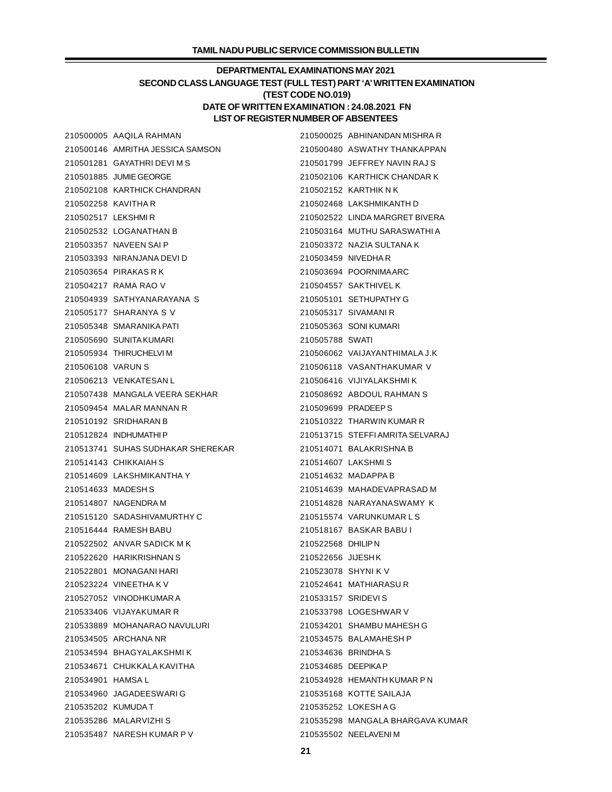# **DEPARTMENTAL EXAMINATIONS MAY 2021 SECOND CLASS LANGUAGE TEST (FULL TEST) PART 'A' WRITTEN EXAMINATION (TEST CODE NO.019) DATE OF WRITTEN EXAMINATION : 24.08.2021 FN LIST OF REGISTER NUMBER OF ABSENTEES**

|                     | 210500005 AAQILA RAHMAN           |                    | 210500025 ABHINANDAN MISHRA R    |
|---------------------|-----------------------------------|--------------------|----------------------------------|
|                     | 210500146 AMRITHA JESSICA SAMSON  |                    | 210500480 ASWATHY THANKAPPAN     |
|                     | 210501281 GAYATHRI DEVI M S       |                    | 210501799 JEFFREY NAVIN RAJ S    |
|                     | 210501885 JUMIE GEORGE            |                    | 210502106 KARTHICK CHANDAR K     |
|                     | 210502108 KARTHICK CHANDRAN       |                    | 210502152 KARTHIK N K            |
| 210502258 KAVITHA R |                                   |                    | 210502468 LAKSHMIKANTH D         |
| 210502517 LEKSHMIR  |                                   |                    | 210502522 LINDA MARGRET BIVERA   |
|                     | 210502532 LOGANATHAN B            |                    | 210503164 MUTHU SARASWATHI A     |
|                     | 210503357 NAVEEN SAI P            |                    | 210503372 NAZIA SULTANA K        |
|                     | 210503393 NIRANJANA DEVI D        |                    | 210503459 NIVEDHAR               |
|                     | 210503654 PIRAKAS R K             |                    | 210503694 POORNIMAARC            |
|                     | 210504217 RAMA RAO V              |                    | 210504557 SAKTHIVEL K            |
|                     | 210504939 SATHYANARAYANA S        |                    | 210505101 SETHUPATHY G           |
|                     | 210505177 SHARANYA S V            |                    | 210505317 SIVAMANI R             |
|                     | 210505348 SMARANIKA PATI          |                    | 210505363 SONIKUMARI             |
|                     | 210505690 SUNITA KUMARI           | 210505788 SWATI    |                                  |
|                     | 210505934 THIRUCHELVIM            |                    | 210506062 VAIJAYANTHIMALA J.K    |
| 210506108 VARUN S   |                                   |                    | 210506118 VASANTHAKUMAR V        |
|                     | 210506213 VENKATESAN L            |                    | 210506416 VIJIYALAKSHMIK         |
|                     | 210507438 MANGALA VEERA SEKHAR    |                    | 210508692 ABDOUL RAHMAN S        |
|                     | 210509454 MALAR MANNAN R          |                    | 210509699 PRADEEP S              |
|                     | 210510192 SRIDHARAN B             |                    | 210510322 THARWIN KUMAR R        |
|                     | 210512824 INDHUMATHIP             |                    | 210513715 STEFFI AMRITA SELVARAJ |
|                     | 210513741 SUHAS SUDHAKAR SHEREKAR |                    | 210514071 BALAKRISHNA B          |
|                     | 210514143 CHIKKAIAH S             |                    | 210514607 LAKSHMIS               |
|                     | 210514609 LAKSHMIKANTHA Y         |                    | 210514632 MADAPPA B              |
| 210514633 MADESH S  |                                   |                    | 210514639 MAHADEVAPRASAD M       |
|                     | 210514807 NAGENDRA M              |                    | 210514828 NARAYANASWAMY K        |
|                     | 210515120 SADASHIVAMURTHY C       |                    | 210515574 VARUNKUMARLS           |
|                     | 210516444 RAMESH BABU             |                    | 210518167 BASKAR BABU I          |
|                     | 210522502 ANVAR SADICK M K        | 210522568 DHILIPN  |                                  |
|                     | 210522620 HARIKRISHNAN S          | 210522656 JIJESHK  |                                  |
|                     | 210522801 MONAGANI HARI           |                    | 210523078 SHYNI K V              |
|                     | 210523224 VINEETHA K V            |                    | 210524641 MATHIARASUR            |
|                     | 210527052 VINODHKUMAR A           | 210533157 SRIDEVIS |                                  |
|                     | 210533406 VIJAYAKUMAR R           |                    | 210533798 LOGESHWAR V            |
|                     | 210533889 MOHANARAO NAVULURI      |                    | 210534201 SHAMBU MAHESH G        |
|                     | 210534505 ARCHANA NR              |                    | 210534575 BALAMAHESH P           |
|                     | 210534594 BHAGYALAKSHMIK          |                    | 210534636 BRINDHA S              |
|                     | 210534671 CHUKKALA KAVITHA        | 210534685 DEEPIKAP |                                  |
| 210534901 HAMSA L   |                                   |                    | 210534928 HEMANTH KUMAR P N      |
|                     | 210534960 JAGADEESWARIG           |                    | 210535168 KOTTE SAILAJA          |
| 210535202 KUMUDAT   |                                   |                    | 210535252 LOKESHAG               |
|                     | 210535286 MALARVIZHI S            |                    | 210535298 MANGALA BHARGAVA KUMAR |
|                     | 210535487 NARESH KUMAR P V        |                    | 210535502 NEELAVENIM             |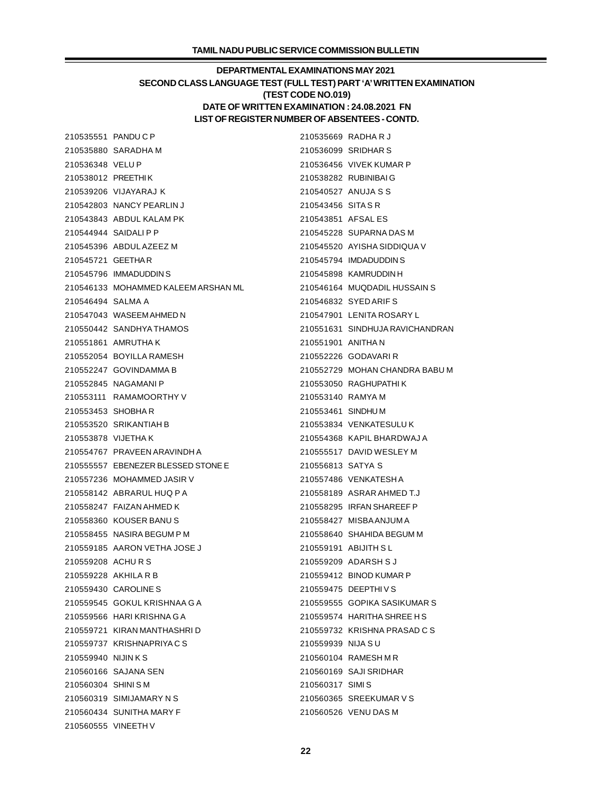# **DEPARTMENTAL EXAMINATIONS MAY 2021 SECOND CLASS LANGUAGE TEST (FULL TEST) PART 'A' WRITTEN EXAMINATION (TEST CODE NO.019) DATE OF WRITTEN EXAMINATION : 24.08.2021 FN LIST OF REGISTER NUMBER OF ABSENTEES - CONTD.**

 PANDU C P 210535669 RADHA R J SARADHA M 210536099 SRIDHAR S VELU P 210536456 VIVEK KUMAR P PREETHI K 210538282 RUBINIBAI G VIJAYARAJ K 210540527 ANUJA S S NANCY PEARLIN J 210543456 SITA S R ABDUL KALAM PK 210543851 AFSAL ES SAIDALI P P 210545228 SUPARNA DAS M ABDUL AZEEZ M 210545520 AYISHA SIDDIQUA V GEETHA R 210545794 IMDADUDDIN S IMMADUDDIN S 210545898 KAMRUDDIN H MOHAMMED KALEEM ARSHAN ML 210546164 MUQDADIL HUSSAIN S SALMA A 210546832 SYED ARIF S WASEEM AHMED N 210547901 LENITA ROSARY L SANDHYA THAMOS 210551631 SINDHUJA RAVICHANDRAN AMRUTHA K 210551901 ANITHA N BOYILLA RAMESH 210552226 GODAVARI R GOVINDAMMA B 210552729 MOHAN CHANDRA BABU M NAGAMANI P 210553050 RAGHUPATHI K RAMAMOORTHY V 210553140 RAMYA M SHOBHA R 210553461 SINDHU M SRIKANTIAH B 210553834 VENKATESULU K VIJETHA K 210554368 KAPIL BHARDWAJ A PRAVEEN ARAVINDH A 210555517 DAVID WESLEY M EBENEZER BLESSED STONE E 210556813 SATYA S MOHAMMED JASIR V 210557486 VENKATESH A ABRARUL HUQ P A 210558189 ASRAR AHMED T.J FAIZAN AHMED K 210558295 IRFAN SHAREEF P KOUSER BANU S 210558427 MISBA ANJUM A 210558455 NASIRA BEGUM P M 210558640 SHAHIDA BEGUM M AARON VETHA JOSE J 210559191 ABIJITH S L ACHU R S 210559209 ADARSH S J AKHILA R B 210559412 BINOD KUMAR P CAROLINE S 210559475 DEEPTHI V S GOKUL KRISHNAA G A 210559555 GOPIKA SASIKUMAR S HARI KRISHNA G A 210559574 HARITHA SHREE H S KIRAN MANTHASHRI D 210559732 KRISHNA PRASAD C S KRISHNAPRIYA C S 210559939 NIJA S U NIJIN K S 210560104 RAMESH M R SAJANA SEN 210560169 SAJI SRIDHAR SHINI S M 210560317 SIMI S SIMIJAMARY N S 210560365 SREEKUMAR V S SUNITHA MARY F 210560526 VENU DAS M VINEETH V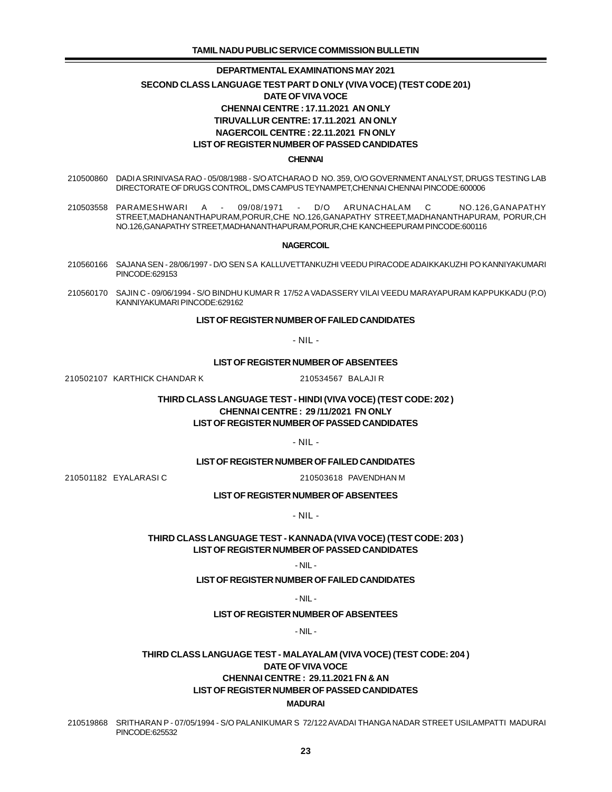# **DEPARTMENTAL EXAMINATIONS MAY 2021 SECOND CLASS LANGUAGE TEST PART D ONLY (VIVA VOCE) (TEST CODE 201) DATE OF VIVA VOCE CHENNAI CENTRE : 17.11.2021 AN ONLY TIRUVALLUR CENTRE: 17.11.2021 AN ONLY NAGERCOIL CENTRE : 22.11.2021 FN ONLY LIST OF REGISTER NUMBER OF PASSED CANDIDATES**

#### **CHENNAI**

- 210500860 DADI A SRINIVASA RAO 05/08/1988 S/O ATCHARAO D NO. 359, O/O GOVERNMENT ANALYST, DRUGS TESTING LAB DIRECTORATE OF DRUGS CONTROL, DMS CAMPUS TEYNAMPET,CHENNAI CHENNAI PINCODE:600006
- 210503558 PARAMESHWARI A 09/08/1971 D/O ARUNACHALAM C NO.126,GANAPATHY STREET,MADHANANTHAPURAM,PORUR,CHE NO.126,GANAPATHY STREET,MADHANANTHAPURAM, PORUR,CH NO.126,GANAPATHY STREET,MADHANANTHAPURAM,PORUR,CHE KANCHEEPURAM PINCODE:600116

#### **NAGERCOIL**

- 210560166 SAJANA SEN 28/06/1997 D/O SEN S A KALLUVETTANKUZHI VEEDU PIRACODE ADAIKKAKUZHI PO KANNIYAKUMARI PINCODE:629153
- 210560170 SAJIN C 09/06/1994 S/O BINDHU KUMAR R 17/52 A VADASSERY VILAI VEEDU MARAYAPURAM KAPPUKKADU (P.O) KANNIYAKUMARI PINCODE:629162

## **LIST OF REGISTER NUMBER OF FAILED CANDIDATES**

- NIL -

## **LIST OF REGISTER NUMBER OF ABSENTEES**

210502107 KARTHICK CHANDAR K 210534567 BALAJI R

## **THIRD CLASS LANGUAGE TEST - HINDI (VIVA VOCE) (TEST CODE: 202 ) CHENNAI CENTRE : 29 /11/2021 FN ONLY LIST OF REGISTER NUMBER OF PASSED CANDIDATES**

- NIL -

### **LIST OF REGISTER NUMBER OF FAILED CANDIDATES**

210501182 EYALARASI C 210503618 PAVENDHAN M

## **LIST OF REGISTER NUMBER OF ABSENTEES**

- NIL -

## **THIRD CLASS LANGUAGE TEST - KANNADA (VIVA VOCE) (TEST CODE: 203 ) LIST OF REGISTER NUMBER OF PASSED CANDIDATES**

### - NIL -

## **LIST OF REGISTER NUMBER OF FAILED CANDIDATES**

### - NIL -

### **LIST OF REGISTER NUMBER OF ABSENTEES**

- NIL -

# **THIRD CLASS LANGUAGE TEST - MALAYALAM (VIVA VOCE) (TEST CODE: 204 ) DATE OF VIVA VOCE CHENNAI CENTRE : 29.11.2021 FN & AN LIST OF REGISTER NUMBER OF PASSED CANDIDATES MADURAI**

 210519868 SRITHARAN P - 07/05/1994 - S/O PALANIKUMAR S 72/122 AVADAI THANGA NADAR STREET USILAMPATTI MADURAI PINCODE:625532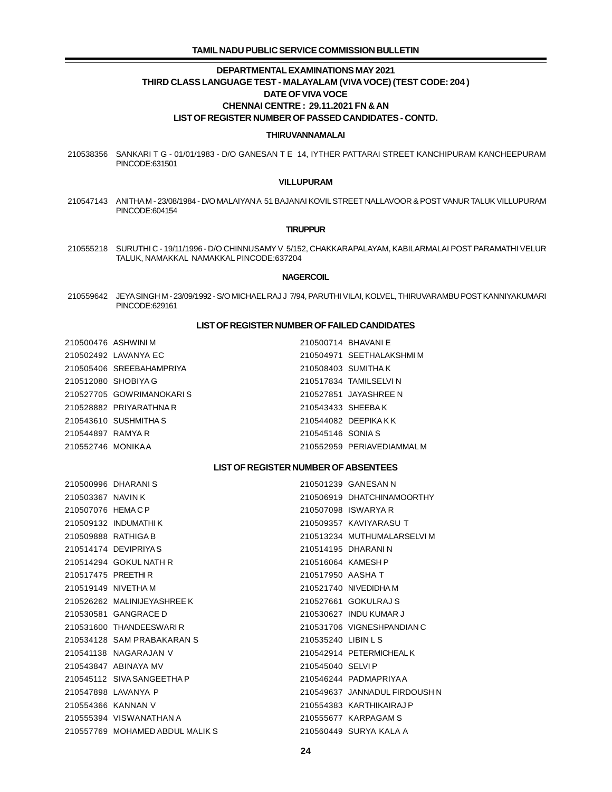## **TAMIL NADU PUBLIC SERVICE COMMISSION BULLETIN**

## **DEPARTMENTAL EXAMINATIONS MAY 2021 THIRD CLASS LANGUAGE TEST - MALAYALAM (VIVA VOCE) (TEST CODE: 204 ) DATE OF VIVA VOCE CHENNAI CENTRE : 29.11.2021 FN & AN LIST OF REGISTER NUMBER OF PASSED CANDIDATES - CONTD.**

### **THIRUVANNAMALAI**

 SANKARI T G - 01/01/1983 - D/O GANESAN T E 14, IYTHER PATTARAI STREET KANCHIPURAM KANCHEEPURAM PINCODE:631501

### **VILLUPURAM**

 ANITHA M - 23/08/1984 - D/O MALAIYAN A 51 BAJANAI KOVIL STREET NALLAVOOR & POST VANUR TALUK VILLUPURAM PINCODE:604154

### **TIRUPPUR**

 SURUTHI C - 19/11/1996 - D/O CHINNUSAMY V 5/152, CHAKKARAPALAYAM, KABILARMALAI POST PARAMATHI VELUR TALUK, NAMAKKAL NAMAKKAL PINCODE:637204

### **NAGERCOIL**

 JEYA SINGH M - 23/09/1992 - S/O MICHAEL RAJ J 7/94, PARUTHI VILAI, KOLVEL, THIRUVARAMBU POST KANNIYAKUMARI PINCODE:629161

### **LIST OF REGISTER NUMBER OF FAILED CANDIDATES**

|                   | 210500476 ASHWINIM       | 210500714 BHAVANIE |                           |
|-------------------|--------------------------|--------------------|---------------------------|
|                   | 210502492 LAVANYA EC     |                    | 210504971 SEETHALAKSHMIM  |
|                   | 210505406 SREEBAHAMPRIYA |                    | 210508403 SUMITHAK        |
|                   | 210512080 SHOBIYA G      |                    | 210517834 TAMILSELVI N    |
|                   | 210527705 GOWRIMANOKARIS |                    | 210527851 JAYASHREE N     |
|                   | 210528882 PRIYARATHNA R  | 210543433 SHEEBAK  |                           |
|                   | 210543610 SUSHMITHA S    |                    | 210544082 DEEPIKAKK       |
| 210544897 RAMYA R |                          | 210545146 SONIA S  |                           |
| 210552746 MONIKAA |                          |                    | 210552959 PERIAVEDIAMMALM |
|                   |                          |                    |                           |

## **LIST OF REGISTER NUMBER OF ABSENTEES**

|                     | 210500996 DHARANIS              |                     | 210501239 GANESAN N           |
|---------------------|---------------------------------|---------------------|-------------------------------|
| 210503367 NAVIN K   |                                 |                     | 210506919 DHATCHINAMOORTHY    |
| 210507076 HEMACP    |                                 |                     | 210507098 ISWARYA R           |
|                     | 210509132 INDUMATHLK            |                     | 210509357 KAVIYARASU T        |
| 210509888 RATHIGA B |                                 |                     | 210513234 MUTHUMALARSELVIM    |
|                     | 210514174 DEVIPRIYAS            |                     | 210514195 DHARANIN            |
|                     | 210514294 GOKUL NATH R          | 210516064 KAMESH P  |                               |
| 210517475 PREETHIR  |                                 | 210517950 AASHA T   |                               |
|                     | 210519149 NIVETHAM              |                     | 210521740 NIVEDIDHAM          |
|                     | 210526262 MALINIJFYASHRFFK      |                     | 210527661 GOKULRAJS           |
|                     | 210530581 GANGRACE D            |                     | 210530627 INDU KUMAR J        |
|                     | 210531600 THANDEESWARLR         |                     | 210531706 VIGNESHPANDIAN C    |
|                     | 210534128 SAM PRABAKARAN S      | 210535240 LIBIN L S |                               |
|                     | 210541138 NAGARAJAN V           |                     | 210542914 PETERMICHEALK       |
|                     | 210543847 ABINAYA MV            | 210545040 SELVIP    |                               |
|                     | 210545112 SIVA SANGEETHA P      |                     | 210546244 PADMAPRIYAA         |
|                     | 210547898 LAVANYA P             |                     | 210549637 JANNADUL FIRDOUSH N |
| 210554366 KANNAN V  |                                 |                     | 210554383 KARTHIKAIRAJ P      |
|                     | 210555394 VISWANATHAN A         |                     | 210555677 KARPAGAM S          |
|                     | 210557769 MOHAMED ABDUL MALIK S |                     | 210560449 SURYA KALA A        |